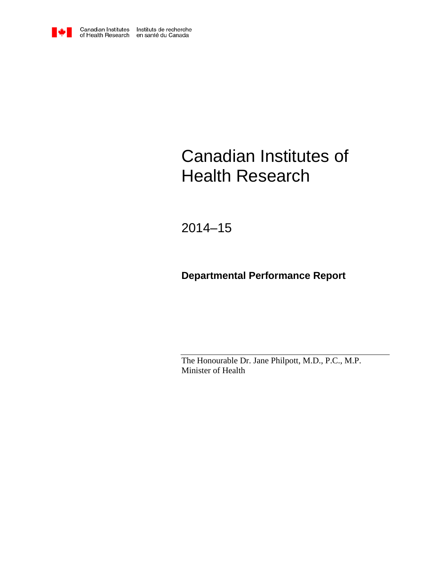

# Canadian Institutes of Health Research

2014–15

# **Departmental Performance Report**

The Honourable Dr. Jane Philpott, M.D., P.C., M.P. Minister of Health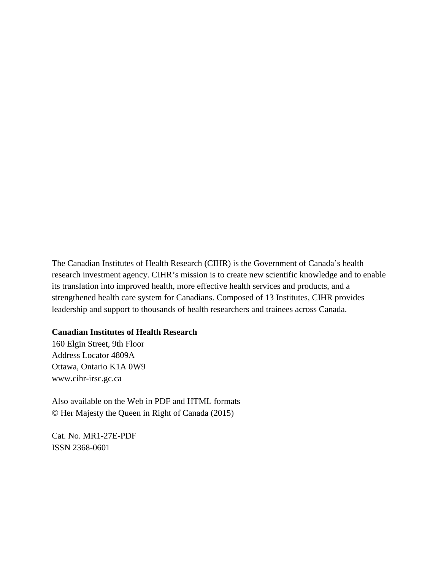The Canadian Institutes of Health Research (CIHR) is the Government of Canada's health research investment agency. CIHR's mission is to create new scientific knowledge and to enable its translation into improved health, more effective health services and products, and a strengthened health care system for Canadians. Composed of 13 Institutes, CIHR provides leadership and support to thousands of health researchers and trainees across Canada.

#### **Canadian Institutes of Health Research**

160 Elgin Street, 9th Floor Address Locator 4809A Ottawa, Ontario K1A 0W9 [www.cihr-irsc.gc.ca](http://www.cihr-irsc.gc.ca/)

Also available on the Web in PDF and HTML formats © Her Majesty the Queen in Right of Canada (2015)

Cat. No. MR1-27E-PDF ISSN 2368-0601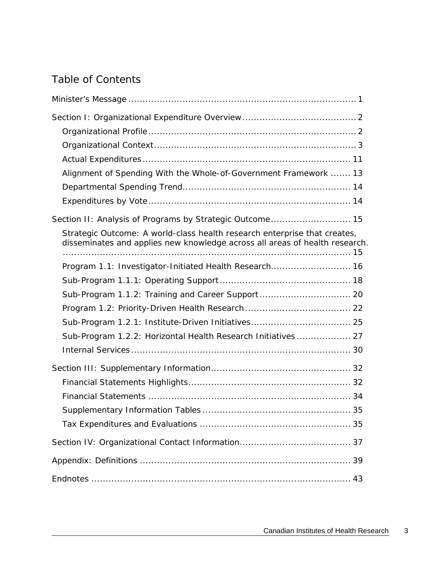# Table of Contents

| Alignment of Spending With the Whole-of-Government Framework  13                                                                                         |
|----------------------------------------------------------------------------------------------------------------------------------------------------------|
|                                                                                                                                                          |
|                                                                                                                                                          |
| Section II: Analysis of Programs by Strategic Outcome 15                                                                                                 |
| Strategic Outcome: A world-class health research enterprise that creates,<br>disseminates and applies new knowledge across all areas of health research. |
| Program 1.1: Investigator-Initiated Health Research 16                                                                                                   |
|                                                                                                                                                          |
| Sub-Program 1.1.2: Training and Career Support 20                                                                                                        |
|                                                                                                                                                          |
|                                                                                                                                                          |
| Sub-Program 1.2.2: Horizontal Health Research Initiatives 27                                                                                             |
|                                                                                                                                                          |
|                                                                                                                                                          |
|                                                                                                                                                          |
|                                                                                                                                                          |
|                                                                                                                                                          |
|                                                                                                                                                          |
|                                                                                                                                                          |
|                                                                                                                                                          |
|                                                                                                                                                          |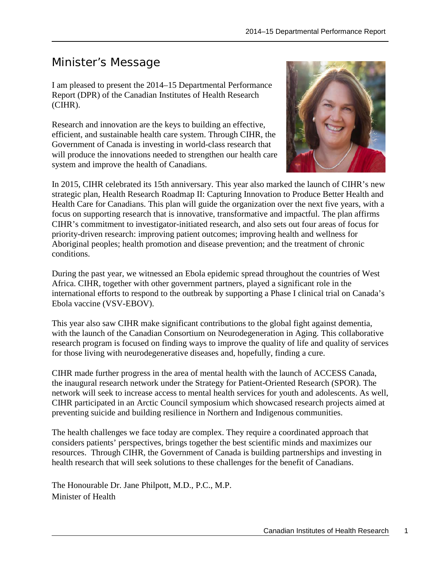# <span id="page-4-0"></span>Minister's Message

I am pleased to present the 2014–15 Departmental Performance Report (DPR) of the Canadian Institutes of Health Research (CIHR).

Research and innovation are the keys to building an effective, efficient, and sustainable health care system. Through CIHR, the Government of Canada is investing in world-class research that will produce the innovations needed to strengthen our health care system and improve the health of Canadians.



In 2015, CIHR celebrated its 15th anniversary. This year also marked the launch of CIHR's new strategic plan, Health Research Roadmap II: Capturing Innovation to Produce Better Health and Health Care for Canadians. This plan will guide the organization over the next five years, with a focus on supporting research that is innovative, transformative and impactful. The plan affirms CIHR's commitment to investigator-initiated research, and also sets out four areas of focus for priority-driven research: improving patient outcomes; improving health and wellness for Aboriginal peoples; health promotion and disease prevention; and the treatment of chronic conditions.

During the past year, we witnessed an Ebola epidemic spread throughout the countries of West Africa. CIHR, together with other government partners, played a significant role in the international efforts to respond to the outbreak by supporting a Phase I clinical trial on Canada's Ebola vaccine (VSV-EBOV).

This year also saw CIHR make significant contributions to the global fight against dementia, with the launch of the Canadian Consortium on Neurodegeneration in Aging. This collaborative research program is focused on finding ways to improve the quality of life and quality of services for those living with neurodegenerative diseases and, hopefully, finding a cure.

CIHR made further progress in the area of mental health with the launch of ACCESS Canada, the inaugural research network under the Strategy for Patient-Oriented Research (SPOR). The network will seek to increase access to mental health services for youth and adolescents. As well, CIHR participated in an Arctic Council symposium which showcased research projects aimed at preventing suicide and building resilience in Northern and Indigenous communities.

The health challenges we face today are complex. They require a coordinated approach that considers patients' perspectives, brings together the best scientific minds and maximizes our resources. Through CIHR, the Government of Canada is building partnerships and investing in health research that will seek solutions to these challenges for the benefit of Canadians.

The Honourable Dr. Jane Philpott, M.D., P.C., M.P. Minister of Health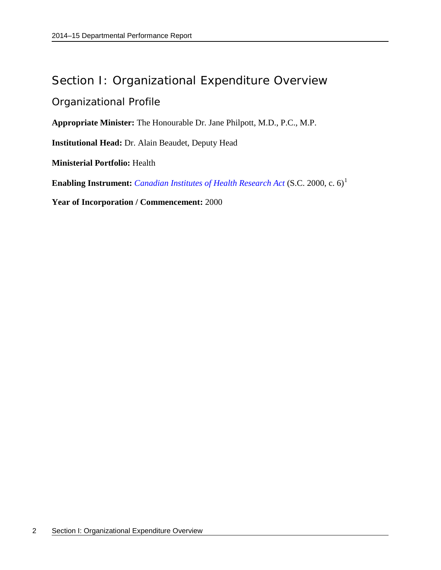# <span id="page-5-0"></span>Section I: Organizational Expenditure Overview

<span id="page-5-1"></span>Organizational Profile

**Appropriate Minister:** The Honourable Dr. Jane Philpott, M.D., P.C., M.P.

**Institutional Head:** Dr. Alain Beaudet, Deputy Head

**Ministerial Portfolio:** Health

**Enabling Instrument:** *[Canadian Institutes of Health Research Act](http://laws-lois.justice.gc.ca/eng/acts/C-18.1/FullText.html)* (S.C. 2000, c. 6) [1](#page-47-0)

**Year of Incorporation / Commencement:** 2000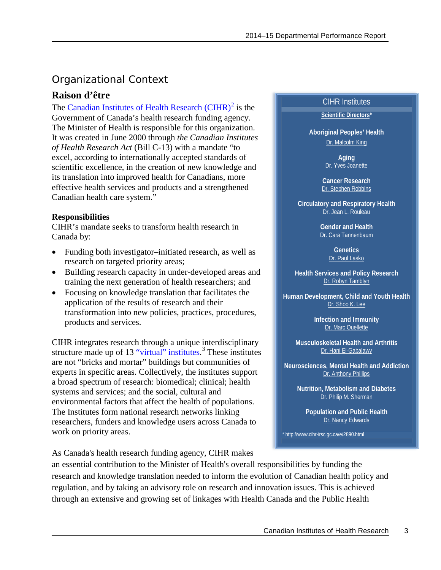# <span id="page-6-0"></span>Organizational Context

### **Raison d'être**

The Canadian Institutes of Health Research  $\text{(CHIR)}^2$  $\text{(CHIR)}^2$  is the Government of Canada's health research funding agency. The Minister of Health is responsible for this organization. It was created in June 2000 through *the Canadian Institutes of Health Research Act* (Bill C-13) with a mandate "to excel, according to internationally accepted standards of scientific excellence, in the creation of new knowledge and its translation into improved health for Canadians, more effective health services and products and a strengthened Canadian health care system."

#### **Responsibilities**

CIHR's mandate seeks to transform health research in Canada by:

- Funding both investigator-initiated research, as well as research on targeted priority areas;
- Building research capacity in under-developed areas and training the next generation of health researchers; and
- Focusing on knowledge translation that facilitates the application of the results of research and their transformation into new policies, practices, procedures, products and services.

CIHR integrates research through a unique interdisciplinary structure made up of 13 ["virtual" institutes.](http://www.cihr-irsc.gc.ca/e/9466.html)<sup>[3](#page-47-2)</sup> These institutes are not "bricks and mortar" buildings but communities of experts in specific areas. Collectively, the institutes support a broad spectrum of research: biomedical; clinical; health systems and services; and the social, cultural and environmental factors that affect the health of populations. The Institutes form national research networks linking researchers, funders and knowledge users across Canada to work on priority areas.

As Canada's health research funding agency, CIHR makes

#### CIHR Institutes

**[Scientific Directors\\*](http://www.cihr-irsc.gc.ca/e/2890.html)**

**Aboriginal Peoples' Health** Dr. Malcolm King

> **Aging** Dr. Yves Joanette

**Cancer Research** Dr. Stephen Robbins

**Circulatory and Respiratory Health** Dr. Jean L. Rouleau

> **Gender and Health** Dr. Cara Tannenbaum

> > **Genetics** Dr. Paul Lasko

**Health Services and Policy Research** Dr. Robyn Tamblyn

**Human Development, Child and Youth Health** Dr. Shoo K. Lee

> **Infection and Immunity** Dr. Marc Ouellette

**Musculoskeletal Health and Arthritis** Dr. Hani El-Gabalawy

**Neurosciences, Mental Health and Addiction** Dr. Anthony Phillips

> **Nutrition, Metabolism and Diabetes** Dr. Philip M. Sherman

**Population and Public Health** Dr. Nancy Edwards

\* http://www.cihr-irsc.gc.ca/e/2890.html

an essential contribution to the Minister of Health's overall responsibilities by funding the research and knowledge translation needed to inform the evolution of Canadian health policy and regulation, and by taking an advisory role on research and innovation issues. This is achieved through an extensive and growing set of linkages with Health Canada and the Public Health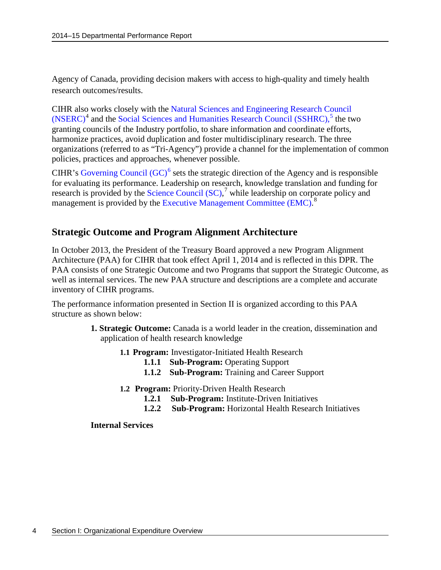Agency of Canada, providing decision makers with access to high-quality and timely health research outcomes/results.

CIHR also works closely with the [Natural Sciences and Engineering Research Council](http://www.nserc-crsng.gc.ca/)   $(NSERC)^4$  $(NSERC)^4$  $(NSERC)^4$  and the Social Sciences and Humanities Research Council  $(SSHRC)^5$  $(SSHRC)^5$  the two granting councils of the Industry portfolio, to share information and coordinate efforts, harmonize practices, avoid duplication and foster multidisciplinary research. The three organizations (referred to as "Tri-Agency") provide a channel for the implementation of common policies, practices and approaches, whenever possible.

CIHR's Governing Council  $(GC)^6$  $(GC)^6$  sets the strategic direction of the Agency and is responsible for evaluating its performance. Leadership on research, knowledge translation and funding for research is provided by the [Science Council \(SC\),](http://www.cihr-irsc.gc.ca/e/33807.html)<sup>[7](#page-47-6)</sup> while leadership on corporate policy and management is provided by the [Executive Management Committee \(EMC\).](http://infonet.internal.cihr.ca/OTCSdav/nodes/5275202/Executive%20Management%20Committee%20(EMC))<sup>[8](#page-47-7)</sup>

### **Strategic Outcome and Program Alignment Architecture**

In October 2013, the President of the Treasury Board approved a new Program Alignment Architecture (PAA) for CIHR that took effect April 1, 2014 and is reflected in this DPR. The PAA consists of one Strategic Outcome and two Programs that support the Strategic Outcome, as well as internal services. The new PAA structure and descriptions are a complete and accurate inventory of CIHR programs.

The performance information presented in Section II is organized according to this PAA structure as shown below:

- **1. Strategic Outcome:** Canada is a world leader in the creation, dissemination and application of health research knowledge
	- **1.1 Program:** Investigator-Initiated Health Research
		- **1.1.1 Sub-Program:** Operating Support
		- **1.1.2 Sub-Program:** Training and Career Support
	- **1.2 Program:** Priority-Driven Health Research
		- **1.2.1 Sub-Program:** Institute-Driven Initiatives
		- **1.2.2 Sub-Program:** Horizontal Health Research Initiatives

#### **Internal Services**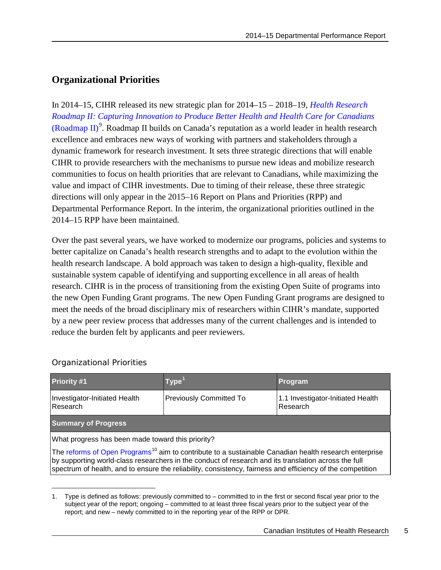## **Organizational Priorities**

In 2014–15, CIHR released its new strategic plan for 2014–15 – 2018–19, *[Health Research](http://www.cihr-irsc.gc.ca/e/48964.html)  [Roadmap II: Capturing Innovation to Produce Better Health and Health Care for Canadians](http://www.cihr-irsc.gc.ca/e/48964.html)*  [\(Roadmap II\)](http://www.cihr-irsc.gc.ca/e/48964.html)<sup>[9](#page-47-8)</sup>. Roadmap II builds on Canada's reputation as a world leader in health research excellence and embraces new ways of working with partners and stakeholders through a dynamic framework for research investment. It sets three strategic directions that will enable CIHR to provide researchers with the mechanisms to pursue new ideas and mobilize research communities to focus on health priorities that are relevant to Canadians, while maximizing the value and impact of CIHR investments. Due to timing of their release, these three strategic directions will only appear in the 2015–16 Report on Plans and Priorities (RPP) and Departmental Performance Report. In the interim, the organizational priorities outlined in the 2014–15 RPP have been maintained.

Over the past several years, we have worked to modernize our programs, policies and systems to better capitalize on Canada's health research strengths and to adapt to the evolution within the health research landscape. A bold approach was taken to design a high-quality, flexible and sustainable system capable of identifying and supporting excellence in all areas of health research. CIHR is in the process of transitioning from the existing Open Suite of programs into the new Open Funding Grant programs. The new Open Funding Grant programs are designed to meet the needs of the broad disciplinary mix of researchers within CIHR's mandate, supported by a new peer review process that addresses many of the current challenges and is intended to reduce the burden felt by applicants and peer reviewers.

| <b>Priority #1</b>                                                                                                                                                                                                        | Type <sup>1</sup>                             | <b>Program</b> |  |  |
|---------------------------------------------------------------------------------------------------------------------------------------------------------------------------------------------------------------------------|-----------------------------------------------|----------------|--|--|
| Investigator-Initiated Health<br>Research                                                                                                                                                                                 | 1.1 Investigator-Initiated Health<br>Research |                |  |  |
| <b>Summary of Progress</b>                                                                                                                                                                                                |                                               |                |  |  |
| What progress has been made toward this priority?                                                                                                                                                                         |                                               |                |  |  |
| The reforms of Open Programs <sup>10</sup> aim to contribute to a sustainable Canadian health research enterprise<br>by supporting world-class researchers in the conduct of research and its translation across the full |                                               |                |  |  |

#### Organizational Priorities

1. Type is defined as follows: previously committed to – committed to in the first or second fiscal year prior to the  $\overline{a}$ 

spectrum of health, and to ensure the reliability, consistency, fairness and efficiency of the competition

<span id="page-8-0"></span>subject year of the report; ongoing – committed to at least three fiscal years prior to the subject year of the report; and new – newly committed to in the reporting year of the RPP or DPR.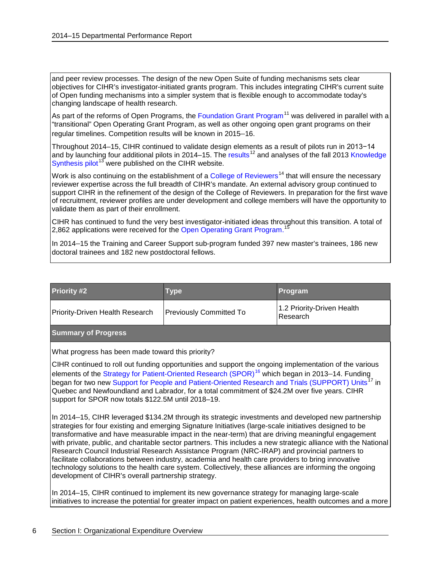and peer review processes. The design of the new Open Suite of funding mechanisms sets clear objectives for CIHR's investigator-initiated grants program. This includes integrating CIHR's current suite of Open funding mechanisms into a simpler system that is flexible enough to accommodate today's changing landscape of health research.

As part of the reforms of Open Programs, the [Foundation Grant Program](http://www.cihr-irsc.gc.ca/e/47618.html)<sup>[11](#page-47-10)</sup> was delivered in parallel with a "transitional" Open Operating Grant Program, as well as other ongoing open grant programs on their regular timelines. Competition results will be known in 2015–16.

Throughout 2014–15, CIHR continued to validate design elements as a result of pilots run in 2013−14 and by launching four additional pilots in 2014–15. The [results](http://www.cihr-irsc.gc.ca/e/48940.html)<sup>[12](#page-47-11)</sup> and analyses of the fall 2013 Knowledge [Synthesis pilot](http://www.cihr-irsc.gc.ca/e/47381.html)<sup>[13](#page-47-12)</sup> were published on the CIHR website.

Work is also continuing on the establishment of a [College of Reviewers](http://www.cihr-irsc.gc.ca/e/47382.html)<sup>[14](#page-47-13)</sup> that will ensure the necessary reviewer expertise across the full breadth of CIHR's mandate. An external advisory group continued to support CIHR in the refinement of the design of the College of Reviewers. In preparation for the first wave of recruitment, reviewer profiles are under development and college members will have the opportunity to validate them as part of their enrollment.

CIHR has continued to fund the very best investigator-initiated ideas throughout this transition. A total of 2,862 applications were received for the [Open Operating Grant Program.](http://www.cihr-irsc.gc.ca/e/47960.html)<sup>[15](#page-47-14)</sup>

In 2014–15 the Training and Career Support sub-program funded 397 new master's trainees, 186 new doctoral trainees and 182 new postdoctoral fellows.

| <b>Priority #2</b>              | <b>Type</b>                    | Program                                |
|---------------------------------|--------------------------------|----------------------------------------|
| Priority-Driven Health Research | <b>Previously Committed To</b> | 1.2 Priority-Driven Health<br>Research |
| <b>Summary of Progress</b>      |                                |                                        |

What progress has been made toward this priority?

CIHR continued to roll out funding opportunities and support the ongoing implementation of the various elements of the [Strategy for Patient-Oriented Research \(SPOR\)](http://www.cihr-irsc.gc.ca/e/41204.html)<sup>[16](#page-47-15)</sup> which began in 2013–14. Funding began for two new [Support for People and Patient-Oriented Research and Trials](http://www.cihr-irsc.gc.ca/e/45859.html) (SUPPORT) Units<sup>[17](#page-47-16)</sup> in Quebec and Newfoundland and Labrador, for a total commitment of \$24.2M over five years. CIHR support for SPOR now totals \$122.5M until 2018–19.

In 2014–15, CIHR leveraged \$134.2M through its strategic investments and developed new partnership strategies for four existing and emerging Signature Initiatives (large-scale initiatives designed to be transformative and have measurable impact in the near-term) that are driving meaningful engagement with private, public, and charitable sector partners. This includes a new strategic alliance with the National Research Council Industrial Research Assistance Program (NRC-IRAP) and provincial partners to facilitate collaborations between industry, academia and health care providers to bring innovative technology solutions to the health care system. Collectively, these alliances are informing the ongoing development of CIHR's overall partnership strategy.

In 2014–15, CIHR continued to implement its new governance strategy for managing large-scale initiatives to increase the potential for greater impact on patient experiences, health outcomes and a more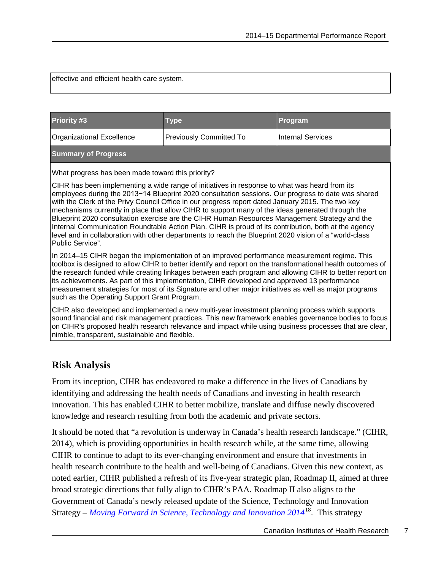effective and efficient health care system.

| <b>Priority #3</b>         | <b>Type</b>                    | Program           |
|----------------------------|--------------------------------|-------------------|
| Organizational Excellence  | <b>Previously Committed To</b> | Internal Services |
| <b>Summary of Progress</b> |                                |                   |

What progress has been made toward this priority?

CIHR has been implementing a wide range of initiatives in response to what was heard from its employees during the 2013−14 Blueprint 2020 consultation sessions. Our progress to date was shared with the Clerk of the Privy Council Office in our progress report dated January 2015. The two key mechanisms currently in place that allow CIHR to support many of the ideas generated through the Blueprint 2020 consultation exercise are the CIHR Human Resources Management Strategy and the Internal Communication Roundtable Action Plan. CIHR is proud of its contribution, both at the agency level and in collaboration with other departments to reach the Blueprint 2020 vision of a "world-class Public Service".

In 2014–15 CIHR began the implementation of an improved performance measurement regime. This toolbox is designed to allow CIHR to better identify and report on the transformational health outcomes of the research funded while creating linkages between each program and allowing CIHR to better report on its achievements. As part of this implementation, CIHR developed and approved 13 performance measurement strategies for most of its Signature and other major initiatives as well as major programs such as the Operating Support Grant Program.

CIHR also developed and implemented a new multi-year investment planning process which supports sound financial and risk management practices. This new framework enables governance bodies to focus on CIHR's proposed health research relevance and impact while using business processes that are clear, nimble, transparent, sustainable and flexible.

### **Risk Analysis**

From its inception, CIHR has endeavored to make a difference in the lives of Canadians by identifying and addressing the health needs of Canadians and investing in health research innovation. This has enabled CIHR to better mobilize, translate and diffuse newly discovered knowledge and research resulting from both the academic and private sectors.

It should be noted that "a revolution is underway in Canada's health research landscape." (CIHR, 2014), which is providing opportunities in health research while, at the same time, allowing CIHR to continue to adapt to its ever-changing environment and ensure that investments in health research contribute to the health and well-being of Canadians. Given this new context, as noted earlier, CIHR published a refresh of its five-year strategic plan, Roadmap II, aimed at three broad strategic directions that fully align to CIHR's PAA. Roadmap II also aligns to the Government of Canada's newly released update of the Science, Technology and Innovation Strategy – *[Moving Forward in Science, Technology and Innovation 2014](https://www.ic.gc.ca/eic/site/icgc.nsf/eng/h_07472.html)*[18.](#page-47-17) This strategy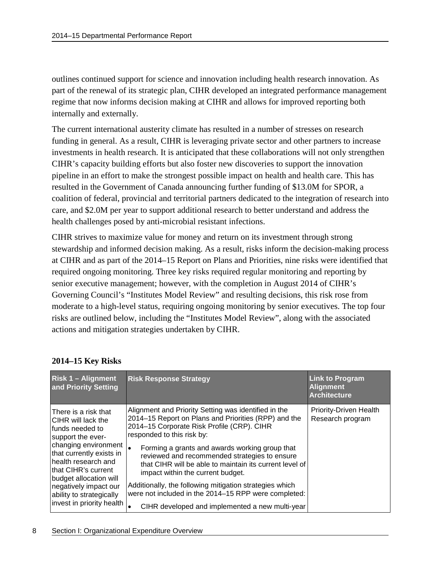outlines continued support for science and innovation including health research innovation. As part of the renewal of its strategic plan, CIHR developed an integrated performance management regime that now informs decision making at CIHR and allows for improved reporting both internally and externally.

The current international austerity climate has resulted in a number of stresses on research funding in general. As a result, CIHR is leveraging private sector and other partners to increase investments in health research. It is anticipated that these collaborations will not only strengthen CIHR's capacity building efforts but also foster new discoveries to support the innovation pipeline in an effort to make the strongest possible impact on health and health care. This has resulted in the Government of Canada announcing further funding of \$13.0M for SPOR, a coalition of federal, provincial and territorial partners dedicated to the integration of research into care, and \$2.0M per year to support additional research to better understand and address the health challenges posed by anti-microbial resistant infections.

CIHR strives to maximize value for money and return on its investment through strong stewardship and informed decision making. As a result, risks inform the decision-making process at CIHR and as part of the 2014–15 Report on Plans and Priorities, nine risks were identified that required ongoing monitoring. Three key risks required regular monitoring and reporting by senior executive management; however, with the completion in August 2014 of CIHR's Governing Council's "Institutes Model Review" and resulting decisions, this risk rose from moderate to a high-level status, requiring ongoing monitoring by senior executives. The top four risks are outlined below, including the "Institutes Model Review", along with the associated actions and mitigation strategies undertaken by CIHR.

| <b>Risk 1 - Alignment</b><br>and Priority Setting                                                                                          | <b>Risk Response Strategy</b>                                                                                                                                                                   | <b>Link to Program</b><br><b>Alignment</b><br><b>Architecture</b> |
|--------------------------------------------------------------------------------------------------------------------------------------------|-------------------------------------------------------------------------------------------------------------------------------------------------------------------------------------------------|-------------------------------------------------------------------|
| There is a risk that<br>CIHR will lack the<br>funds needed to<br>support the ever-                                                         | Alignment and Priority Setting was identified in the<br>2014–15 Report on Plans and Priorities (RPP) and the<br>2014-15 Corporate Risk Profile (CRP). CIHR<br>responded to this risk by:        | <b>Priority-Driven Health</b><br>Research program                 |
| changing environment $\vert_{\bullet}$<br>that currently exists in<br>health research and<br>that CIHR's current<br>budget allocation will | Forming a grants and awards working group that<br>reviewed and recommended strategies to ensure<br>that CIHR will be able to maintain its current level of<br>impact within the current budget. |                                                                   |
| negatively impact our<br>ability to strategically                                                                                          | Additionally, the following mitigation strategies which<br>were not included in the 2014–15 RPP were completed:                                                                                 |                                                                   |
| invest in priority health                                                                                                                  | CIHR developed and implemented a new multi-year<br>$\bullet$                                                                                                                                    |                                                                   |

#### **2014–15 Key Risks**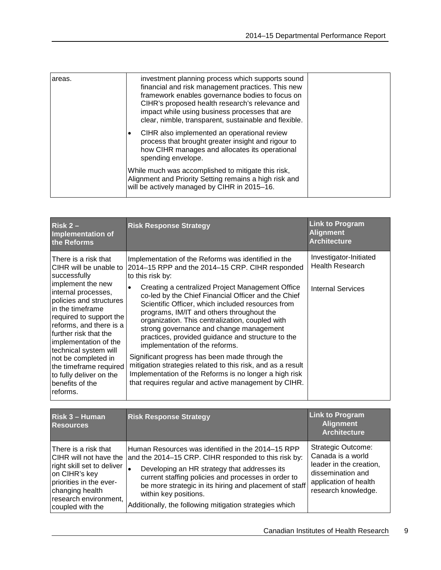| areas. | investment planning process which supports sound<br>financial and risk management practices. This new<br>framework enables governance bodies to focus on<br>CIHR's proposed health research's relevance and<br>impact while using business processes that are<br>clear, nimble, transparent, sustainable and flexible. |  |
|--------|------------------------------------------------------------------------------------------------------------------------------------------------------------------------------------------------------------------------------------------------------------------------------------------------------------------------|--|
|        | CIHR also implemented an operational review<br>process that brought greater insight and rigour to<br>how CIHR manages and allocates its operational<br>spending envelope.                                                                                                                                              |  |
|        | While much was accomplished to mitigate this risk,<br>Alignment and Priority Setting remains a high risk and<br>will be actively managed by CIHR in 2015-16.                                                                                                                                                           |  |

| $Risk 2 -$<br>Implementation of<br>the Reforms                                                                                                                                                                                                                                                                                                                                                                        | <b>Risk Response Strategy</b>                                                                                                                                                                                                                                                                                                                                                                                                                                                                                                                                                                                                                                                                                                                                   | <b>Link to Program</b><br><b>Alignment</b><br><b>Architecture</b>            |
|-----------------------------------------------------------------------------------------------------------------------------------------------------------------------------------------------------------------------------------------------------------------------------------------------------------------------------------------------------------------------------------------------------------------------|-----------------------------------------------------------------------------------------------------------------------------------------------------------------------------------------------------------------------------------------------------------------------------------------------------------------------------------------------------------------------------------------------------------------------------------------------------------------------------------------------------------------------------------------------------------------------------------------------------------------------------------------------------------------------------------------------------------------------------------------------------------------|------------------------------------------------------------------------------|
| l There is a risk that<br>CIHR will be unable to<br>successfully<br>implement the new<br>$\bullet$<br>internal processes,<br>policies and structures<br>in the timeframe<br>required to support the<br>reforms, and there is a<br>lfurther risk that the<br>implementation of the<br>technical system will<br>not be completed in<br>the timeframe required<br>to fully deliver on the<br>benefits of the<br>reforms. | Implementation of the Reforms was identified in the<br>2014-15 RPP and the 2014-15 CRP. CIHR responded<br>to this risk by:<br>Creating a centralized Project Management Office<br>co-led by the Chief Financial Officer and the Chief<br>Scientific Officer, which included resources from<br>programs, IM/IT and others throughout the<br>organization. This centralization, coupled with<br>strong governance and change management<br>practices, provided guidance and structure to the<br>implementation of the reforms.<br>Significant progress has been made through the<br>mitigation strategies related to this risk, and as a result<br>Implementation of the Reforms is no longer a high risk<br>that requires regular and active management by CIHR. | Investigator-Initiated<br><b>Health Research</b><br><b>Internal Services</b> |

| Risk 3 - Human<br><b>Resources</b>                                                                                                                                                       | <b>Risk Response Strategy</b>                                                                                                                                                                                                                                                                                                                                  | <b>Link to Program</b><br><b>Alignment</b><br><b>Architecture</b>                                                                              |
|------------------------------------------------------------------------------------------------------------------------------------------------------------------------------------------|----------------------------------------------------------------------------------------------------------------------------------------------------------------------------------------------------------------------------------------------------------------------------------------------------------------------------------------------------------------|------------------------------------------------------------------------------------------------------------------------------------------------|
| There is a risk that<br>CIHR will not have the<br>right skill set to deliver<br>on CIHR's key<br>priorities in the ever-<br>changing health<br>research environment,<br>coupled with the | Human Resources was identified in the 2014–15 RPP<br>and the 2014–15 CRP. CIHR responded to this risk by:<br>Developing an HR strategy that addresses its<br>current staffing policies and processes in order to<br>be more strategic in its hiring and placement of staff<br>within key positions.<br>Additionally, the following mitigation strategies which | <b>Strategic Outcome:</b><br>Canada is a world<br>leader in the creation,<br>dissemination and<br>application of health<br>research knowledge. |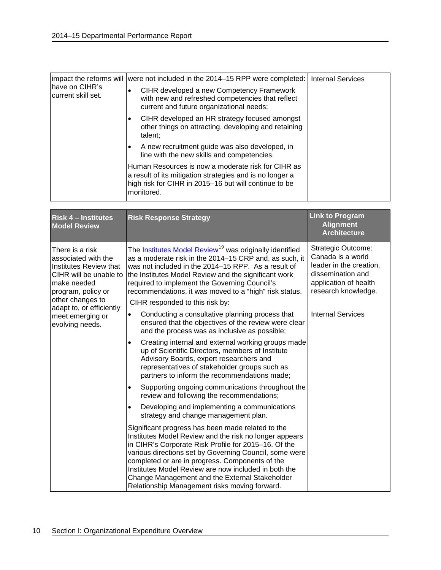|                                        | impact the reforms will  were not included in the 2014–15 RPP were completed:                                                                                                         | <b>Internal Services</b> |
|----------------------------------------|---------------------------------------------------------------------------------------------------------------------------------------------------------------------------------------|--------------------------|
| lhave on CIHR's<br>lcurrent skill set. | CIHR developed a new Competency Framework<br>٠<br>with new and refreshed competencies that reflect<br>current and future organizational needs;                                        |                          |
|                                        | CIHR developed an HR strategy focused amongst<br>٠<br>other things on attracting, developing and retaining<br>talent;                                                                 |                          |
|                                        | A new recruitment guide was also developed, in<br>$\bullet$<br>line with the new skills and competencies.                                                                             |                          |
|                                        | Human Resources is now a moderate risk for CIHR as<br>a result of its mitigation strategies and is no longer a<br>high risk for CIHR in 2015-16 but will continue to be<br>monitored. |                          |

| <b>Risk 4 - Institutes</b><br><b>Model Review</b>                                                                                                                                                                      | <b>Risk Response Strategy</b>                                                                                                                                                                                                                                                                                                                                                                                                               | <b>Link to Program</b><br><b>Alignment</b><br><b>Architecture</b>                                                                       |
|------------------------------------------------------------------------------------------------------------------------------------------------------------------------------------------------------------------------|---------------------------------------------------------------------------------------------------------------------------------------------------------------------------------------------------------------------------------------------------------------------------------------------------------------------------------------------------------------------------------------------------------------------------------------------|-----------------------------------------------------------------------------------------------------------------------------------------|
| There is a risk<br>associated with the<br>Institutes Review that<br>CIHR will be unable to<br>make needed<br>program, policy or<br>other changes to<br>adapt to, or efficiently<br>meet emerging or<br>evolving needs. | The Institutes Model Review <sup>19</sup> was originally identified<br>as a moderate risk in the 2014–15 CRP and, as such, it<br>was not included in the 2014–15 RPP. As a result of<br>the Institutes Model Review and the significant work<br>required to implement the Governing Council's<br>recommendations, it was moved to a "high" risk status.<br>CIHR responded to this risk by:                                                  | Strategic Outcome:<br>Canada is a world<br>leader in the creation,<br>dissemination and<br>application of health<br>research knowledge. |
|                                                                                                                                                                                                                        | Conducting a consultative planning process that<br>$\bullet$<br>ensured that the objectives of the review were clear<br>and the process was as inclusive as possible;                                                                                                                                                                                                                                                                       | <b>Internal Services</b>                                                                                                                |
|                                                                                                                                                                                                                        | Creating internal and external working groups made<br>$\bullet$<br>up of Scientific Directors, members of Institute<br>Advisory Boards, expert researchers and<br>representatives of stakeholder groups such as<br>partners to inform the recommendations made;                                                                                                                                                                             |                                                                                                                                         |
|                                                                                                                                                                                                                        | Supporting ongoing communications throughout the<br>$\bullet$<br>review and following the recommendations;                                                                                                                                                                                                                                                                                                                                  |                                                                                                                                         |
|                                                                                                                                                                                                                        | Developing and implementing a communications<br>$\bullet$<br>strategy and change management plan.                                                                                                                                                                                                                                                                                                                                           |                                                                                                                                         |
|                                                                                                                                                                                                                        | Significant progress has been made related to the<br>Institutes Model Review and the risk no longer appears<br>in CIHR's Corporate Risk Profile for 2015-16. Of the<br>various directions set by Governing Council, some were<br>completed or are in progress. Components of the<br>Institutes Model Review are now included in both the<br>Change Management and the External Stakeholder<br>Relationship Management risks moving forward. |                                                                                                                                         |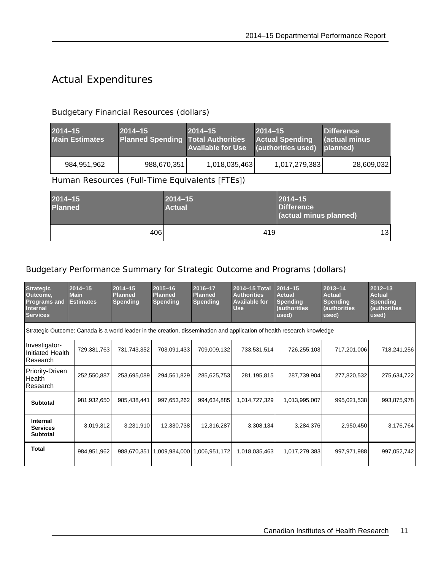# <span id="page-14-0"></span>Actual Expenditures

#### Budgetary Financial Resources (dollars)

| $2014 - 15$           | $2014 - 15$                               | $2014 - 15$                                   | $2014 - 15$            | <b>Difference</b>          |
|-----------------------|-------------------------------------------|-----------------------------------------------|------------------------|----------------------------|
| <b>Main Estimates</b> | <b>Planned Spending Total Authorities</b> | Available for Use (authorities used) planned) | <b>Actual Spending</b> | (actual minus <sup>1</sup> |
| 984.951.962           | 988,670,351                               | 1,018,035,463                                 | 1,017,279,383          | 28,609,032                 |

Human Resources (Full-Time Equivalents [FTEs])

| $2014 - 15$<br><b>Planned</b> | $2014 - 15$<br><b>Actual</b> | $2014 - 15$<br><b>Difference</b><br>(actual minus planned) |
|-------------------------------|------------------------------|------------------------------------------------------------|
| 406                           | 419                          | 13                                                         |

#### Budgetary Performance Summary for Strategic Outcome and Programs (dollars)

| <b>Strategic</b><br>Outcome,<br><b>Programs and</b><br>Internal<br><b>Services</b> | $2014 - 15$<br><b>Main</b><br><b>Estimates</b> | $2014 - 15$<br><b>Planned</b><br><b>Spending</b> | $2015 - 16$<br><b>Planned</b><br><b>Spending</b> | 2016-17<br><b>Planned</b><br><b>Spending</b> | 2014-15 Total<br><b>Authorities</b><br><b>Available for</b><br><b>Use</b> | $2014 - 15$<br><b>Actual</b><br><b>Spending</b><br>(authorities<br>used)                                                | $2013 - 14$<br><b>Actual</b><br><b>Spending</b><br>(authorities<br>used) | $2012 - 13$<br><b>Actual</b><br><b>Spending</b><br>(authorities<br>used) |
|------------------------------------------------------------------------------------|------------------------------------------------|--------------------------------------------------|--------------------------------------------------|----------------------------------------------|---------------------------------------------------------------------------|-------------------------------------------------------------------------------------------------------------------------|--------------------------------------------------------------------------|--------------------------------------------------------------------------|
|                                                                                    |                                                |                                                  |                                                  |                                              |                                                                           | Strategic Outcome: Canada is a world leader in the creation, dissemination and application of health research knowledge |                                                                          |                                                                          |
| Investigator-<br>Initiated Health<br>Research                                      | 729,381,763                                    | 731,743,352                                      | 703,091,433                                      | 709,009,132                                  | 733,531,514                                                               | 726,255,103                                                                                                             | 717,201,006                                                              | 718,241,256                                                              |
| Priority-Driven<br>Health<br>Research                                              | 252,550,887                                    | 253,695,089                                      | 294,561,829                                      | 285,625,753                                  | 281,195,815                                                               | 287,739,904                                                                                                             | 277,820,532                                                              | 275,634,722                                                              |
| <b>Subtotal</b>                                                                    | 981,932,650                                    | 985,438,441                                      | 997,653,262                                      | 994,634,885                                  | 1,014,727,329                                                             | 1,013,995,007                                                                                                           | 995,021,538                                                              | 993,875,978                                                              |
| Internal<br><b>Services</b><br><b>Subtotal</b>                                     | 3,019,312                                      | 3,231,910                                        | 12,330,738                                       | 12,316,287                                   | 3,308,134                                                                 | 3,284,376                                                                                                               | 2,950,450                                                                | 3,176,764                                                                |
| Total                                                                              | 984,951,962                                    | 988,670,351                                      | 1,009,984,000                                    | 1,006,951,172                                | 1,018,035,463                                                             | 1,017,279,383                                                                                                           | 997,971,988                                                              | 997,052,742                                                              |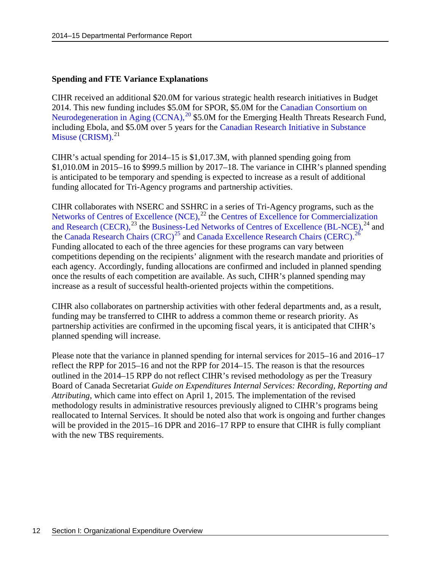#### **Spending and FTE Variance Explanations**

CIHR received an additional \$20.0M for various strategic health research initiatives in Budget 2014. This new funding includes \$5.0M for SPOR, \$5.0M for the [Canadian Consortium on](http://www.cihr-irsc.gc.ca/e/46475.html)  [Neurodegeneration in](http://www.cihr-irsc.gc.ca/e/46475.html) Aging (CCNA),<sup>[20](#page-47-19)</sup> \$5.0M for the Emerging Health Threats Research Fund, including Ebola, and \$5.0M over 5 years for the [Canadian Research Initiative in Substance](http://www.cihr-irsc.gc.ca/e/44597.html)  [Misuse \(CRISM\).](http://www.cihr-irsc.gc.ca/e/44597.html)<sup>[21](#page-47-20)</sup>

CIHR's actual spending for 2014–15 is \$1,017.3M, with planned spending going from \$1,010.0M in 2015–16 to \$999.5 million by 2017–18. The variance in CIHR's planned spending is anticipated to be temporary and spending is expected to increase as a result of additional funding allocated for Tri-Agency programs and partnership activities.

CIHR collaborates with NSERC and SSHRC in a series of Tri-Agency programs, such as the Networks of Centres [of Excellence \(NCE\),](http://www.nce-rce.gc.ca/Index_eng.asp)<sup>[22](#page-47-21)</sup> the Centres of Excellence for Commercialization [and Research \(CECR\),](http://www.nce-rce.gc.ca/NetworksCentres-CentresReseaux/CECR-CECR_eng.asp) $^{23}$  $^{23}$  $^{23}$  the [Business-Led Networks of](http://www.nce-rce.gc.ca/NetworksCentres-CentresReseaux/BLNCE-RCEE_eng.asp) Centres of Excellence (BL-NCE), $^{24}$  $^{24}$  $^{24}$  and the Canada Research Chairs  $(CRC)^{25}$  $(CRC)^{25}$  $(CRC)^{25}$  and [Canada Excellence Research Chairs](http://www.cerc.gc.ca/home-accueil-eng.aspx)  $(CERC)$ . [26](#page-47-25) Funding allocated to each of the three agencies for these programs can vary between competitions depending on the recipients' alignment with the research mandate and priorities of each agency. Accordingly, funding allocations are confirmed and included in planned spending once the results of each competition are available. As such, CIHR's planned spending may increase as a result of successful health-oriented projects within the competitions.

CIHR also collaborates on partnership activities with other federal departments and, as a result, funding may be transferred to CIHR to address a common theme or research priority. As partnership activities are confirmed in the upcoming fiscal years, it is anticipated that CIHR's planned spending will increase.

Please note that the variance in planned spending for internal services for 2015–16 and 2016–17 reflect the RPP for 2015–16 and not the RPP for 2014–15. The reason is that the resources outlined in the 2014–15 RPP do not reflect CIHR's revised methodology as per the Treasury Board of Canada Secretariat *Guide on Expenditures Internal Services: Recording, Reporting and Attributing*, which came into effect on April 1, 2015. The implementation of the revised methodology results in administrative resources previously aligned to CIHR's programs being reallocated to Internal Services. It should be noted also that work is ongoing and further changes will be provided in the 2015–16 DPR and 2016–17 RPP to ensure that CIHR is fully compliant with the new TBS requirements.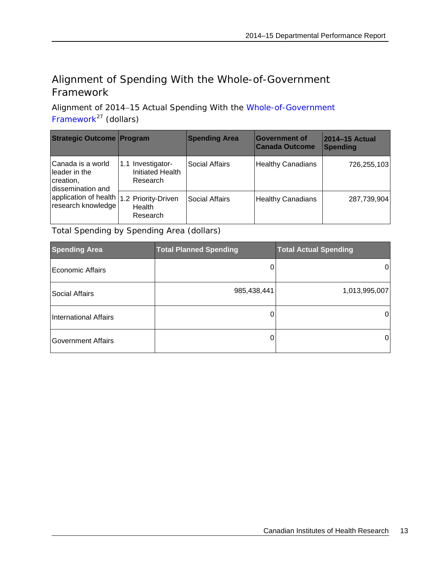# <span id="page-16-0"></span>Alignment of Spending With the Whole-of-Government Framework

Alignment of 2014−15 Actual Spending With the [Whole-of-Government](http://www.tbs-sct.gc.ca/ppg-cpr/frame-cadre-eng.aspx)  [Framework](http://www.tbs-sct.gc.ca/ppg-cpr/frame-cadre-eng.aspx) $^{27}$  $^{27}$  $^{27}$  (dollars)

| <b>Strategic Outcome Program</b>                                     |                                                          | <b>Spending Area</b> | <b>Government of</b><br><b>Canada Outcome</b> | 2014–15 Actual<br><b>Spending</b> |
|----------------------------------------------------------------------|----------------------------------------------------------|----------------------|-----------------------------------------------|-----------------------------------|
| Canada is a world<br>leader in the<br>creation,<br>dissemination and | 1.1 Investigator-<br><b>Initiated Health</b><br>Research | Social Affairs       | <b>Healthy Canadians</b>                      | 726,255,103                       |
| application of health   1.2 Priority-Driven<br>research knowledge    | Health<br>Research                                       | Social Affairs       | <b>Healthy Canadians</b>                      | 287,739,904                       |

Total Spending by Spending Area (dollars)

| <b>Spending Area</b>         | <b>Total Planned Spending</b> | <b>Total Actual Spending</b> |
|------------------------------|-------------------------------|------------------------------|
| <b>Economic Affairs</b>      |                               |                              |
| Social Affairs               | 985,438,441                   | 1,013,995,007                |
| <b>International Affairs</b> |                               |                              |
| <b>Government Affairs</b>    | 0                             |                              |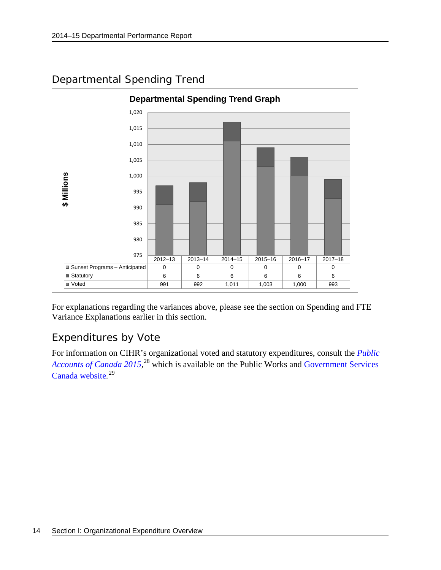

<span id="page-17-0"></span>Departmental Spending Trend

For explanations regarding the variances above, please see the section on Spending and FTE Variance Explanations earlier in this section.

# <span id="page-17-1"></span>Expenditures by Vote

For information on CIHR's organizational voted and statutory expenditures, consult the *[Public](http://www.tpsgc-pwgsc.gc.ca/recgen/cpc-pac/index-eng.html)*  [Accounts of Canada 2015](http://www.tpsgc-pwgsc.gc.ca/recgen/cpc-pac/index-eng.html),<sup>[28](#page-47-27)</sup> which is available on the Public Works and Government Services [Canada website](http://www.tpsgc-pwgsc.gc.ca/recgen/cpc-pac/index-eng.html)*.* [29](#page-47-28)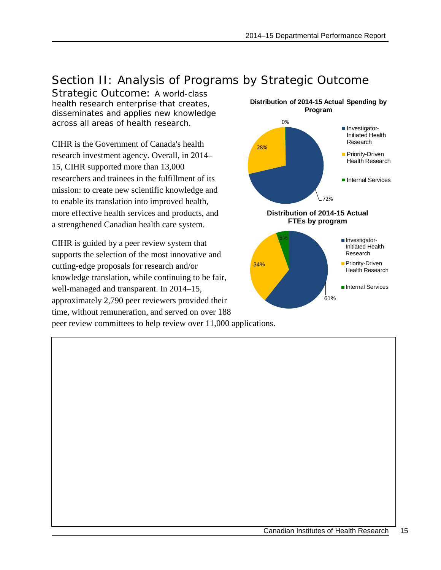# <span id="page-18-0"></span>Section II: Analysis of Programs by Strategic Outcome

<span id="page-18-1"></span>Strategic Outcome: A world-class health research enterprise that creates, disseminates and applies new knowledge across all areas of health research.

CIHR is the Government of Canada's health research investment agency. Overall, in 2014– 15, CIHR supported more than 13,000 researchers and trainees in the fulfillment of its mission: to create new scientific knowledge and to enable its translation into improved health, more effective health services and products, and a strengthened Canadian health care system.

CIHR is guided by a peer review system that supports the selection of the most innovative and cutting-edge proposals for research and/or knowledge translation, while continuing to be fair, well-managed and transparent. In 2014–15, approximately 2,790 peer reviewers provided their time, without remuneration, and served on over 188 peer review committees to help review over 11,000 applications.

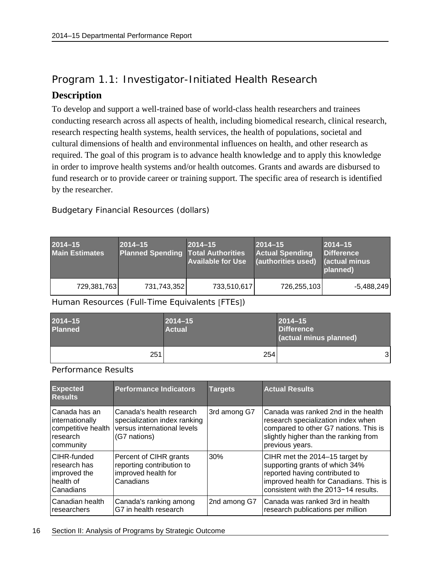# <span id="page-19-0"></span>Program 1.1: Investigator-Initiated Health Research

### **Description**

To develop and support a well-trained base of world-class health researchers and trainees conducting research across all aspects of health, including biomedical research, clinical research, research respecting health systems, health services, the health of populations, societal and cultural dimensions of health and environmental influences on health, and other research as required. The goal of this program is to advance health knowledge and to apply this knowledge in order to improve health systems and/or health outcomes. Grants and awards are disbursed to fund research or to provide career or training support. The specific area of research is identified by the researcher.

Budgetary Financial Resources (dollars)

| $2014 - 15$<br><b>Main Estimates</b> | $2014 - 15$<br><b>Planned Spending Total Authorities</b> | $2014 - 15$<br><b>Available for Use</b> | $2014 - 15$<br><b>Actual Spending</b><br>(authorities used) | $2014 - 15$<br><b>Difference</b><br><b>actual minus</b><br>planned) |
|--------------------------------------|----------------------------------------------------------|-----------------------------------------|-------------------------------------------------------------|---------------------------------------------------------------------|
| 729,381,763                          | 731,743,352                                              | 733,510,617                             | 726,255,103                                                 | $-5,488,249$                                                        |

Human Resources (Full-Time Equivalents [FTEs])

| $2014 - 15$<br><b>Planned</b> | $2014 - 15$<br><b>Actual</b> | $2014 - 15$<br><b>Difference</b><br>(actual minus planned) |
|-------------------------------|------------------------------|------------------------------------------------------------|
| 251                           | 254                          | - 2.                                                       |

Performance Results

| <b>Expected</b><br><b>Results</b>                                               | <b>Performance Indicators</b>                                                                           | <b>Targets</b> | <b>Actual Results</b>                                                                                                                                                                |
|---------------------------------------------------------------------------------|---------------------------------------------------------------------------------------------------------|----------------|--------------------------------------------------------------------------------------------------------------------------------------------------------------------------------------|
| Canada has an<br>internationally<br>competitive health<br>research<br>community | Canada's health research<br>specialization index ranking<br>versus international levels<br>(G7 nations) | 3rd among G7   | Canada was ranked 2nd in the health<br>research specialization index when<br>compared to other G7 nations. This is<br>slightly higher than the ranking from<br>previous years.       |
| CIHR-funded<br>research has<br>improved the<br>health of<br>Canadians           | Percent of CIHR grants<br>reporting contribution to<br>improved health for<br>Canadians                 | 30%            | CIHR met the 2014–15 target by<br>supporting grants of which 34%<br>reported having contributed to<br>improved health for Canadians. This is<br>consistent with the 2013-14 results. |
| Canadian health<br>researchers                                                  | Canada's ranking among<br>G7 in health research                                                         | 2nd among G7   | Canada was ranked 3rd in health<br>research publications per million                                                                                                                 |

16 Section II: Analysis of Programs by Strategic Outcome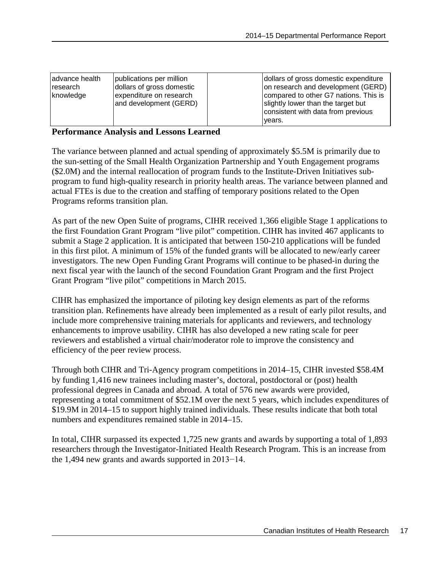| ladvance health<br>Iresearch<br>knowledge | publications per million<br>dollars of gross domestic<br>expenditure on research<br>and development (GERD) | dollars of gross domestic expenditure<br>on research and development (GERD)<br>compared to other G7 nations. This is<br>slightly lower than the target but<br>consistent with data from previous |
|-------------------------------------------|------------------------------------------------------------------------------------------------------------|--------------------------------------------------------------------------------------------------------------------------------------------------------------------------------------------------|
|                                           |                                                                                                            | years.                                                                                                                                                                                           |

#### **Performance Analysis and Lessons Learned**

The variance between planned and actual spending of approximately \$5.5M is primarily due to the sun-setting of the Small Health Organization Partnership and Youth Engagement programs (\$2.0M) and the internal reallocation of program funds to the Institute-Driven Initiatives subprogram to fund high-quality research in priority health areas. The variance between planned and actual FTEs is due to the creation and staffing of temporary positions related to the Open Programs reforms transition plan.

As part of the new Open Suite of programs, CIHR received 1,366 eligible Stage 1 applications to the first Foundation Grant Program "live pilot" competition. CIHR has invited 467 applicants to submit a Stage 2 application. It is anticipated that between 150-210 applications will be funded in this first pilot. A minimum of 15% of the funded grants will be allocated to new/early career investigators. The new Open Funding Grant Programs will continue to be phased-in during the next fiscal year with the launch of the second Foundation Grant Program and the first Project Grant Program "live pilot" competitions in March 2015.

CIHR has emphasized the importance of piloting key design elements as part of the reforms transition plan. Refinements have already been implemented as a result of early pilot results, and include more comprehensive training materials for applicants and reviewers, and technology enhancements to improve usability. CIHR has also developed a new rating scale for peer reviewers and established a virtual chair/moderator role to improve the consistency and efficiency of the peer review process.

Through both CIHR and Tri-Agency program competitions in 2014–15, CIHR invested \$58.4M by funding 1,416 new trainees including master's, doctoral, postdoctoral or (post) health professional degrees in Canada and abroad. A total of 576 new awards were provided, representing a total commitment of \$52.1M over the next 5 years, which includes expenditures of \$19.9M in 2014–15 to support highly trained individuals. These results indicate that both total numbers and expenditures remained stable in 2014–15.

In total, CIHR surpassed its expected 1,725 new grants and awards by supporting a total of 1,893 researchers through the Investigator-Initiated Health Research Program. This is an increase from the 1,494 new grants and awards supported in 2013−14.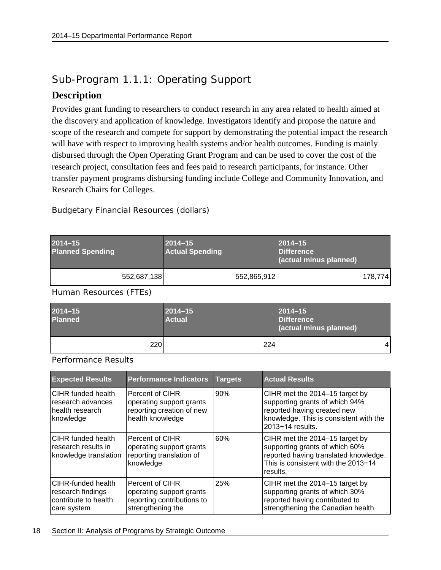# <span id="page-21-0"></span>Sub-Program 1.1.1: Operating Support

### **Description**

Provides grant funding to researchers to conduct research in any area related to health aimed at the discovery and application of knowledge. Investigators identify and propose the nature and scope of the research and compete for support by demonstrating the potential impact the research will have with respect to improving health systems and/or health outcomes. Funding is mainly disbursed through the Open Operating Grant Program and can be used to cover the cost of the research project, consultation fees and fees paid to research participants, for instance. Other transfer payment programs disbursing funding include College and Community Innovation, and Research Chairs for Colleges.

Budgetary Financial Resources (dollars)

| $2014 - 15$<br><b>Planned Spending</b> |             | $2014 - 15$<br><b>Actual Spending</b> |             | $2014 - 15$<br><b>Difference</b><br>(actual minus planned) |         |
|----------------------------------------|-------------|---------------------------------------|-------------|------------------------------------------------------------|---------|
|                                        | 552,687,138 |                                       | 552,865,912 |                                                            | 178,774 |

Human Resources (FTEs)

| $2014 - 15$<br><b>Planned</b> | $2014 - 15$<br><b>Actual</b> | $2014 - 15$<br><b>Difference</b><br>(actual minus planned) |
|-------------------------------|------------------------------|------------------------------------------------------------|
| 220                           | 224                          | Δ                                                          |

Performance Results

| <b>Expected Results</b>                                                        | <b>Performance Indicators</b>                                                                  | Targets | <b>Actual Results</b>                                                                                                                                         |
|--------------------------------------------------------------------------------|------------------------------------------------------------------------------------------------|---------|---------------------------------------------------------------------------------------------------------------------------------------------------------------|
| CIHR funded health<br>research advances<br>health research<br>knowledge        | Percent of CIHR<br>operating support grants<br>reporting creation of new<br>health knowledge   | 90%     | CIHR met the 2014–15 target by<br>supporting grants of which 94%<br>reported having created new<br>knowledge. This is consistent with the<br>2013-14 results. |
| CIHR funded health<br>research results in<br>knowledge translation             | Percent of CIHR<br>operating support grants<br>reporting translation of<br>knowledge           | 60%     | CIHR met the 2014-15 target by<br>supporting grants of which 60%<br>reported having translated knowledge.<br>This is consistent with the 2013-14<br>results.  |
| CIHR-funded health<br>research findings<br>contribute to health<br>care system | Percent of CIHR<br>operating support grants<br>reporting contributions to<br>strengthening the | 25%     | CIHR met the 2014-15 target by<br>supporting grants of which 30%<br>reported having contributed to<br>strengthening the Canadian health                       |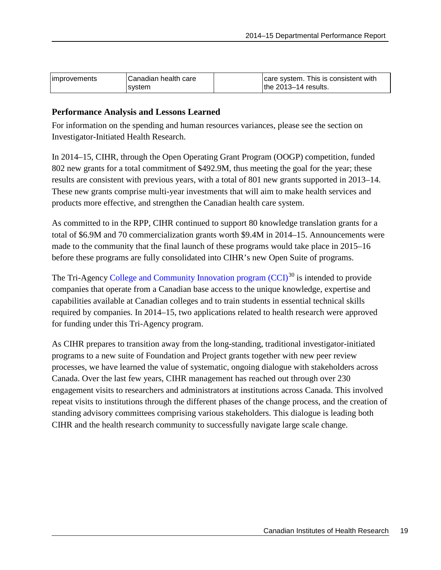| the 2013–14 results.<br>system | lCanadian health care<br><b>Improvements</b> | care system. This is consistent with |
|--------------------------------|----------------------------------------------|--------------------------------------|
|--------------------------------|----------------------------------------------|--------------------------------------|

#### **Performance Analysis and Lessons Learned**

For information on the spending and human resources variances, please see the section on Investigator-Initiated Health Research.

In 2014–15, CIHR, through the Open Operating Grant Program (OOGP) competition, funded 802 new grants for a total commitment of \$492.9M, thus meeting the goal for the year; these results are consistent with previous years, with a total of 801 new grants supported in 2013–14. These new grants comprise multi-year investments that will aim to make health services and products more effective, and strengthen the Canadian health care system.

As committed to in the RPP, CIHR continued to support 80 knowledge translation grants for a total of \$6.9M and 70 commercialization grants worth \$9.4M in 2014–15. Announcements were made to the community that the final launch of these programs would take place in 2015–16 before these programs are fully consolidated into CIHR's new Open Suite of programs.

The Tri-Agency [College and Community Innovation program \(CCI\)](http://www.nserc-crsng.gc.ca/Professors-Professeurs/RPP-PP/CCI-ICC_eng.asp)<sup>[30](#page-47-29)</sup> is intended to provide companies that operate from a Canadian base access to the unique knowledge, expertise and capabilities available at Canadian colleges and to train students in essential technical skills required by companies. In 2014–15, two applications related to health research were approved for funding under this Tri-Agency program.

As CIHR prepares to transition away from the long-standing, traditional investigator-initiated programs to a new suite of Foundation and Project grants together with new peer review processes, we have learned the value of systematic, ongoing dialogue with stakeholders across Canada. Over the last few years, CIHR management has reached out through over 230 engagement visits to researchers and administrators at institutions across Canada. This involved repeat visits to institutions through the different phases of the change process, and the creation of standing advisory committees comprising various stakeholders. This dialogue is leading both CIHR and the health research community to successfully navigate large scale change.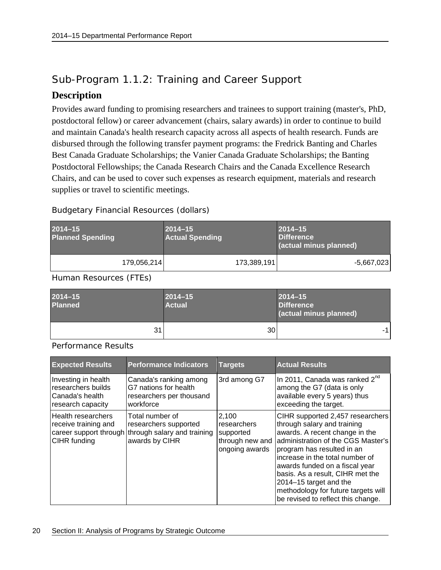# <span id="page-23-0"></span>Sub-Program 1.1.2: Training and Career Support

### **Description**

Provides award funding to promising researchers and trainees to support training (master's, PhD, postdoctoral fellow) or career advancement (chairs, salary awards) in order to continue to build and maintain Canada's health research capacity across all aspects of health research. Funds are disbursed through the following transfer payment programs: the Fredrick Banting and Charles Best Canada Graduate Scholarships; the Vanier Canada Graduate Scholarships; the Banting Postdoctoral Fellowships; the Canada Research Chairs and the Canada Excellence Research Chairs, and can be used to cover such expenses as research equipment, materials and research supplies or travel to scientific meetings.

#### Budgetary Financial Resources (dollars)

| $2014 - 15$<br><b>Planned Spending</b> | $2014 - 15$<br><b>Actual Spending</b> | $2014 - 15$<br><b>Difference</b><br>(actual minus planned) |
|----------------------------------------|---------------------------------------|------------------------------------------------------------|
| 179,056,214                            | 173,389,191                           | $-5,667,023$                                               |

Human Resources (FTEs)

| $2014 - 15$<br><b>Planned</b> | $ 2014 - 15$<br><b>Actual</b> | $2014 - 15$<br>Difference<br>(actual minus planned) |
|-------------------------------|-------------------------------|-----------------------------------------------------|
| 31                            | 30 <sup>°</sup>               | $-1$                                                |

#### Performance Results

| <b>Expected Results</b>                                                           | <b>Performance Indicators</b>                                                                                    | <b>Targets</b>                                                         | <b>Actual Results</b>                                                                                                                                                                                                                                                                                                                                                                  |
|-----------------------------------------------------------------------------------|------------------------------------------------------------------------------------------------------------------|------------------------------------------------------------------------|----------------------------------------------------------------------------------------------------------------------------------------------------------------------------------------------------------------------------------------------------------------------------------------------------------------------------------------------------------------------------------------|
| Investing in health<br>researchers builds<br>Canada's health<br>research capacity | Canada's ranking among<br>G7 nations for health<br>researchers per thousand<br>workforce                         | 3rd among G7                                                           | In 2011, Canada was ranked 2 <sup>nd</sup><br>among the G7 (data is only<br>available every 5 years) thus<br>exceeding the target.                                                                                                                                                                                                                                                     |
| Health researchers<br>receive training and<br>CIHR funding                        | Total number of<br>researchers supported<br>career support through through salary and training<br>awards by CIHR | 2,100<br>researchers<br>supported<br>through new and<br>ongoing awards | CIHR supported 2,457 researchers<br>through salary and training<br>awards. A recent change in the<br>administration of the CGS Master's<br>program has resulted in an<br>lincrease in the total number of<br>awards funded on a fiscal year<br>basis. As a result, CIHR met the<br>2014-15 target and the<br>methodology for future targets will<br>be revised to reflect this change. |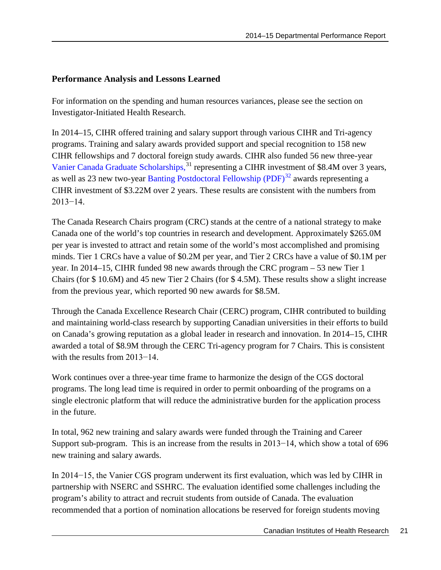#### **Performance Analysis and Lessons Learned**

For information on the spending and human resources variances, please see the section on Investigator-Initiated Health Research.

In 2014–15, CIHR offered training and salary support through various CIHR and Tri-agency programs. Training and salary awards provided support and special recognition to 158 new CIHR fellowships and 7 doctoral foreign study awards. CIHR also funded 56 new three-year [Vanier Canada Graduate Scholarships,](http://www.vanier.gc.ca/en/home-accueil.html)<sup>[31](#page-47-30)</sup> representing a CIHR investment of \$8.4M over 3 years, as well as 23 new two-year [Banting Postdoctoral Fellowship \(PDF\)](http://banting.fellowships-bourses.gc.ca/home-accueil-eng.html)<sup>[32](#page-47-31)</sup> awards representing a CIHR investment of \$3.22M over 2 years. These results are consistent with the numbers from 2013−14.

The Canada Research Chairs program (CRC) stands at the centre of a national strategy to make Canada one of the world's top countries in research and development. Approximately \$265.0M per year is invested to attract and retain some of the world's most accomplished and promising minds. Tier 1 CRCs have a value of \$0.2M per year, and Tier 2 CRCs have a value of \$0.1M per year. In 2014–15, CIHR funded 98 new awards through the CRC program – 53 new Tier 1 Chairs (for \$ 10.6M) and 45 new Tier 2 Chairs (for \$ 4.5M). These results show a slight increase from the previous year, which reported 90 new awards for \$8.5M.

Through the Canada Excellence Research Chair (CERC) program, CIHR contributed to building and maintaining world-class research by supporting Canadian universities in their efforts to build on Canada's growing reputation as a global leader in research and innovation. In 2014–15, CIHR awarded a total of \$8.9M through the CERC Tri-agency program for 7 Chairs. This is consistent with the results from 2013−14.

Work continues over a three-year time frame to harmonize the design of the CGS doctoral programs. The long lead time is required in order to permit onboarding of the programs on a single electronic platform that will reduce the administrative burden for the application process in the future.

In total, 962 new training and salary awards were funded through the Training and Career Support sub-program. This is an increase from the results in 2013−14, which show a total of 696 new training and salary awards.

In 2014−15, the Vanier CGS program underwent its first evaluation, which was led by CIHR in partnership with NSERC and SSHRC. The evaluation identified some challenges including the program's ability to attract and recruit students from outside of Canada. The evaluation recommended that a portion of nomination allocations be reserved for foreign students moving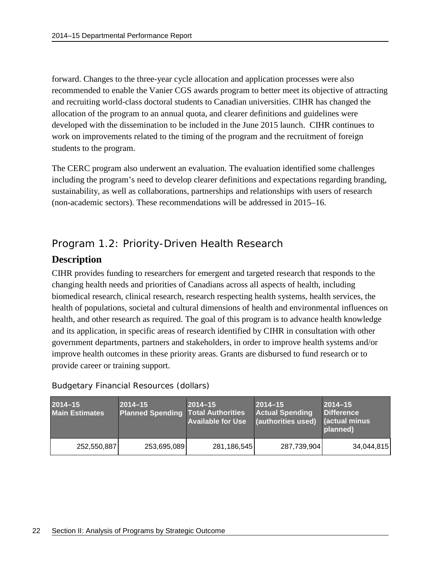forward. Changes to the three-year cycle allocation and application processes were also recommended to enable the Vanier CGS awards program to better meet its objective of attracting and recruiting world-class doctoral students to Canadian universities. CIHR has changed the allocation of the program to an annual quota, and clearer definitions and guidelines were developed with the dissemination to be included in the June 2015 launch. CIHR continues to work on improvements related to the timing of the program and the recruitment of foreign students to the program.

The CERC program also underwent an evaluation. The evaluation identified some challenges including the program's need to develop clearer definitions and expectations regarding branding, sustainability, as well as collaborations, partnerships and relationships with users of research (non-academic sectors). These recommendations will be addressed in 2015–16.

# <span id="page-25-0"></span>Program 1.2: Priority-Driven Health Research

### **Description**

CIHR provides funding to researchers for emergent and targeted research that responds to the changing health needs and priorities of Canadians across all aspects of health, including biomedical research, clinical research, research respecting health systems, health services, the health of populations, societal and cultural dimensions of health and environmental influences on health, and other research as required. The goal of this program is to advance health knowledge and its application, in specific areas of research identified by CIHR in consultation with other government departments, partners and stakeholders, in order to improve health systems and/or improve health outcomes in these priority areas. Grants are disbursed to fund research or to provide career or training support.

| $2014 - 15$<br><b>Main Estimates</b> | $2014 - 15$<br><b>Planned Spending Total Authorities</b> | $2014 - 15$<br><b>Available for Use</b> | $2014 - 15$<br><b>Actual Spending</b><br>(authorities used) | $2014 - 15$<br><b>Difference</b><br><b>actual minus</b><br>planned) |
|--------------------------------------|----------------------------------------------------------|-----------------------------------------|-------------------------------------------------------------|---------------------------------------------------------------------|
| 252,550,887                          | 253,695,089                                              | 281,186,545                             | 287,739,904                                                 | 34,044,815                                                          |

Budgetary Financial Resources (dollars)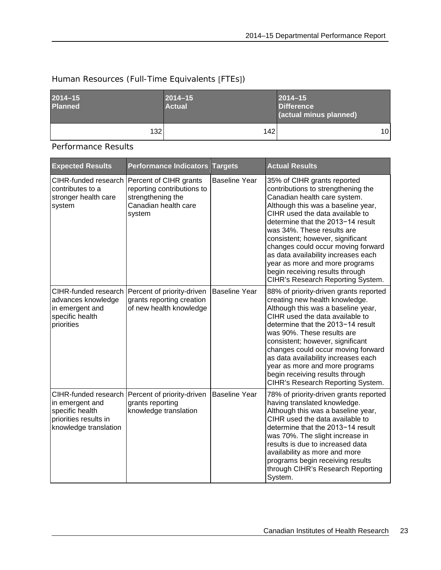### Human Resources (Full-Time Equivalents [FTEs])

| $2014 - 15$<br><b>Planned</b> | $ 2014 - 15$<br><b>Actual</b> | $2014 - 15$<br><b>Difference</b><br>(actual minus planned) |
|-------------------------------|-------------------------------|------------------------------------------------------------|
| 132 <sub>l</sub>              | 142                           | 10                                                         |

#### Performance Results

| <b>Expected Results</b>                                                                                      | <b>Performance Indicators</b>                                                                                                      | <b>Targets</b>       | <b>Actual Results</b>                                                                                                                                                                                                                                                                                                                                                                                                                                                    |
|--------------------------------------------------------------------------------------------------------------|------------------------------------------------------------------------------------------------------------------------------------|----------------------|--------------------------------------------------------------------------------------------------------------------------------------------------------------------------------------------------------------------------------------------------------------------------------------------------------------------------------------------------------------------------------------------------------------------------------------------------------------------------|
| contributes to a<br>stronger health care<br>system                                                           | CIHR-funded research   Percent of CIHR grants<br>reporting contributions to<br>strengthening the<br>Canadian health care<br>system | <b>Baseline Year</b> | 35% of CIHR grants reported<br>contributions to strengthening the<br>Canadian health care system.<br>Although this was a baseline year,<br>CIHR used the data available to<br>determine that the 2013-14 result<br>was 34%. These results are<br>consistent; however, significant<br>changes could occur moving forward<br>as data availability increases each<br>year as more and more programs<br>begin receiving results through<br>CIHR's Research Reporting System. |
| advances knowledge<br>in emergent and<br>specific health<br>priorities                                       | CIHR-funded research Percent of priority-driven<br>grants reporting creation<br>of new health knowledge                            | <b>Baseline Year</b> | 88% of priority-driven grants reported<br>creating new health knowledge.<br>Although this was a baseline year,<br>CIHR used the data available to<br>determine that the 2013-14 result<br>was 90%. These results are<br>consistent; however, significant<br>changes could occur moving forward<br>as data availability increases each<br>year as more and more programs<br>begin receiving results through<br>CIHR's Research Reporting System.                          |
| CIHR-funded research<br>in emergent and<br>specific health<br>priorities results in<br>knowledge translation | Percent of priority-driven<br>grants reporting<br>knowledge translation                                                            | <b>Baseline Year</b> | 78% of priority-driven grants reported<br>having translated knowledge.<br>Although this was a baseline year,<br>CIHR used the data available to<br>determine that the 2013-14 result<br>was 70%. The slight increase in<br>results is due to increased data<br>availability as more and more<br>programs begin receiving results<br>through CIHR's Research Reporting<br>System.                                                                                         |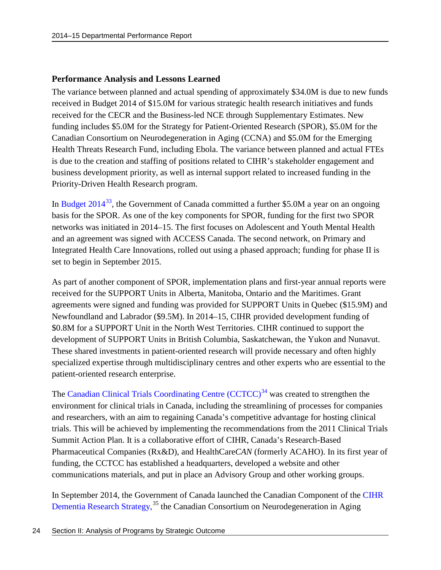#### **Performance Analysis and Lessons Learned**

The variance between planned and actual spending of approximately \$34.0M is due to new funds received in Budget 2014 of \$15.0M for various strategic health research initiatives and funds received for the CECR and the Business-led NCE through Supplementary Estimates. New funding includes \$5.0M for the Strategy for Patient-Oriented Research (SPOR), \$5.0M for the Canadian Consortium on Neurodegeneration in Aging (CCNA) and \$5.0M for the Emerging Health Threats Research Fund, including Ebola. The variance between planned and actual FTEs is due to the creation and staffing of positions related to CIHR's stakeholder engagement and business development priority, as well as internal support related to increased funding in the Priority-Driven Health Research program.

In [Budget 2014](http://www.budget.gc.ca/2014/docs/plan/ch3-2-eng.html)<sup>[33](#page-47-32)</sup>, the Government of Canada committed a further \$5.0M a year on an ongoing basis for the SPOR. As one of the key components for SPOR, funding for the first two SPOR networks was initiated in 2014–15. The first focuses on Adolescent and Youth Mental Health and an agreement was signed with ACCESS Canada. The second network, on Primary and Integrated Health Care Innovations, rolled out using a phased approach; funding for phase II is set to begin in September 2015.

As part of another component of SPOR, implementation plans and first-year annual reports were received for the SUPPORT Units in Alberta, Manitoba, Ontario and the Maritimes. Grant agreements were signed and funding was provided for SUPPORT Units in Quebec (\$15.9M) and Newfoundland and Labrador (\$9.5M). In 2014–15, CIHR provided development funding of \$0.8M for a SUPPORT Unit in the North West Territories. CIHR continued to support the development of SUPPORT Units in British Columbia, Saskatchewan, the Yukon and Nunavut. These shared investments in patient-oriented research will provide necessary and often highly specialized expertise through multidisciplinary centres and other experts who are essential to the patient-oriented research enterprise.

The Canadian Clinical Trials Coordinating Centre  $(CCTCC)^{34}$  $(CCTCC)^{34}$  $(CCTCC)^{34}$  was created to strengthen the environment for clinical trials in Canada, including the streamlining of processes for companies and researchers, with an aim to regaining Canada's competitive advantage for hosting clinical trials. This will be achieved by implementing the recommendations from the 2011 Clinical Trials Summit Action Plan. It is a collaborative effort of CIHR, Canada's Research-Based Pharmaceutical Companies (Rx&D), and HealthCare*CAN* (formerly ACAHO). In its first year of funding, the CCTCC has established a headquarters, developed a website and other communications materials, and put in place an Advisory Group and other working groups.

In September 2014, the Government of Canada launched the Canadian Component of the [CIHR](http://www.cihr-irsc.gc.ca/e/43629.html)  [Dementia Research Strategy,](http://www.cihr-irsc.gc.ca/e/43629.html)<sup>[35](#page-47-34)</sup> the Canadian Consortium on Neurodegeneration in Aging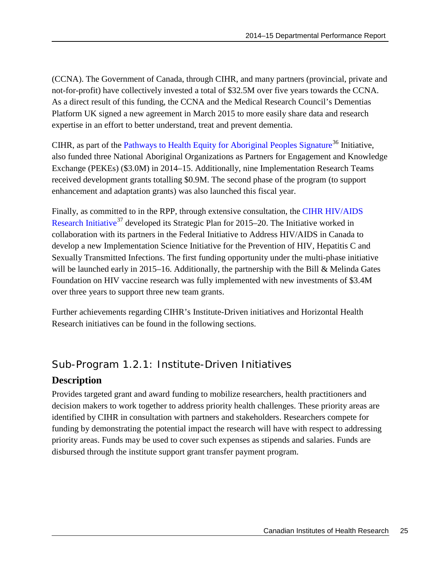(CCNA). The Government of Canada, through CIHR, and many partners (provincial, private and not-for-profit) have collectively invested a total of \$32.5M over five years towards the CCNA. As a direct result of this funding, the CCNA and the Medical Research Council's Dementias Platform UK signed a new agreement in March 2015 to more easily share data and research expertise in an effort to better understand, treat and prevent dementia.

CIHR, as part of the [Pathways to Health Equity for Aboriginal Peoples Signature](http://www.cihr-irsc.gc.ca/e/43630.html)<sup>[36](#page-47-35)</sup> Initiative, also funded three National Aboriginal Organizations as Partners for Engagement and Knowledge Exchange (PEKEs) (\$3.0M) in 2014–15. Additionally, nine Implementation Research Teams received development grants totalling \$0.9M. The second phase of the program (to support enhancement and adaptation grants) was also launched this fiscal year.

Finally, as committed to in the RPP, through extensive consultation, the [CIHR HIV/AIDS](http://www.cihr-irsc.gc.ca/e/25832.html)  [Research Initiative](http://www.cihr-irsc.gc.ca/e/25832.html)<sup>[37](#page-47-36)</sup> developed its Strategic Plan for  $2015-20$ . The Initiative worked in collaboration with its partners in the Federal Initiative to Address HIV/AIDS in Canada to develop a new Implementation Science Initiative for the Prevention of HIV, Hepatitis C and Sexually Transmitted Infections. The first funding opportunity under the multi-phase initiative will be launched early in 2015–16. Additionally, the partnership with the Bill & Melinda Gates Foundation on HIV vaccine research was fully implemented with new investments of \$3.4M over three years to support three new team grants.

Further achievements regarding CIHR's Institute-Driven initiatives and Horizontal Health Research initiatives can be found in the following sections.

### <span id="page-28-0"></span>Sub-Program 1.2.1: Institute-Driven Initiatives

### **Description**

Provides targeted grant and award funding to mobilize researchers, health practitioners and decision makers to work together to address priority health challenges. These priority areas are identified by CIHR in consultation with partners and stakeholders. Researchers compete for funding by demonstrating the potential impact the research will have with respect to addressing priority areas. Funds may be used to cover such expenses as stipends and salaries. Funds are disbursed through the institute support grant transfer payment program.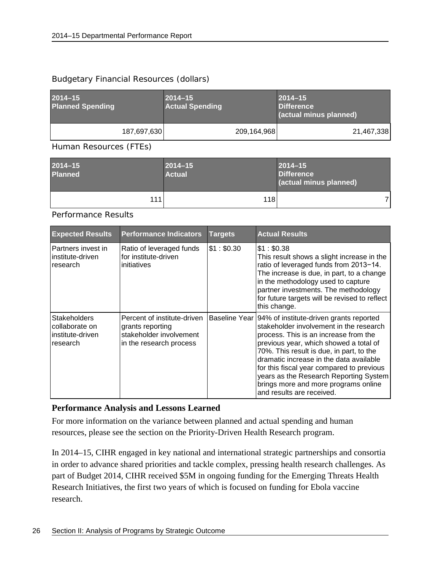#### Budgetary Financial Resources (dollars)

| $2014 - 15$<br><b>Planned Spending</b> |             | $2014 - 15$<br><b>Actual Spending</b> |             | $2014 - 15$<br><b>Difference</b><br>(actual minus planned) |  |
|----------------------------------------|-------------|---------------------------------------|-------------|------------------------------------------------------------|--|
|                                        | 187,697,630 |                                       | 209,164,968 | 21,467,338                                                 |  |

Human Resources (FTEs)

| $2014 - 15$<br><b>Planned</b> | $2014 - 15$<br><b>Actual</b> | $2014 - 15$<br><b>Difference</b><br>(actual minus planned) |
|-------------------------------|------------------------------|------------------------------------------------------------|
| 111                           | 118                          |                                                            |

Performance Results

| <b>Expected Results</b>                                               | <b>Performance Indicators</b>                                                                         | <b>Targets</b> | <b>Actual Results</b>                                                                                                                                                                                                                                                                                                                                                                                                                    |
|-----------------------------------------------------------------------|-------------------------------------------------------------------------------------------------------|----------------|------------------------------------------------------------------------------------------------------------------------------------------------------------------------------------------------------------------------------------------------------------------------------------------------------------------------------------------------------------------------------------------------------------------------------------------|
| Partners invest in<br>institute-driven<br>research                    | Ratio of leveraged funds<br>for institute-driven<br>initiatives                                       | \$1: \$0.30    | \$1: \$0.38<br>This result shows a slight increase in the<br>ratio of leveraged funds from 2013-14.<br>The increase is due, in part, to a change<br>in the methodology used to capture<br>partner investments. The methodology<br>for future targets will be revised to reflect<br>this change.                                                                                                                                          |
| <b>Stakeholders</b><br>collaborate on<br>institute-driven<br>research | Percent of institute-driven<br>grants reporting<br>stakeholder involvement<br>in the research process |                | Baseline Year   94% of institute-driven grants reported<br>stakeholder involvement in the research<br>process. This is an increase from the<br>previous year, which showed a total of<br>70%. This result is due, in part, to the<br>dramatic increase in the data available<br>for this fiscal year compared to previous<br>years as the Research Reporting System<br>brings more and more programs online<br>and results are received. |

#### **Performance Analysis and Lessons Learned**

For more information on the variance between planned and actual spending and human resources, please see the section on the Priority-Driven Health Research program.

In 2014–15, CIHR engaged in key national and international strategic partnerships and consortia in order to advance shared priorities and tackle complex, pressing health research challenges. As part of Budget 2014, CIHR received \$5M in ongoing funding for the Emerging Threats Health Research Initiatives, the first two years of which is focused on funding for Ebola vaccine research.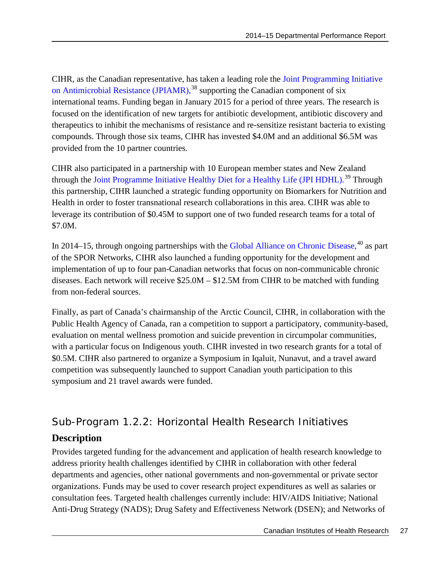CIHR, as the Canadian representative, has taken a leading role the [Joint Programming Initiative](http://www.cihr-irsc.gc.ca/e/40485.html)  [on Antimicrobial Resistance \(JPIAMR\),](http://www.cihr-irsc.gc.ca/e/40485.html)<sup>[38](#page-47-37)</sup> supporting the Canadian component of six international teams. Funding began in January 2015 for a period of three years. The research is focused on the identification of new targets for antibiotic development, antibiotic discovery and therapeutics to inhibit the mechanisms of resistance and re-sensitize resistant bacteria to existing compounds. Through those six teams, CIHR has invested \$4.0M and an additional \$6.5M was provided from the 10 partner countries.

CIHR also participated in a partnership with 10 European member states and New Zealand through the Joint [Programme Initiative Healthy Diet for a Healthy Life \(JPI HDHL\).](http://www.healthydietforhealthylife.eu/)<sup>[39](#page-47-38)</sup> Through this partnership, CIHR launched a strategic funding opportunity on Biomarkers for Nutrition and Health in order to foster transnational research collaborations in this area. CIHR was able to leverage its contribution of \$0.45M to support one of two funded research teams for a total of \$7.0M.

In 2014–15, through ongoing partnerships with the [Global Alliance on Chronic Disease,](http://www.cihr-irsc.gc.ca/e/46355.html)<sup>[40](#page-47-39)</sup> as part of the SPOR Networks, CIHR also launched a funding opportunity for the development and implementation of up to four pan-Canadian networks that focus on non-communicable chronic diseases. Each network will receive \$25.0M – \$12.5M from CIHR to be matched with funding from non-federal sources.

Finally, as part of Canada's chairmanship of the Arctic Council, CIHR, in collaboration with the Public Health Agency of Canada, ran a competition to support a participatory, community-based, evaluation on mental wellness promotion and suicide prevention in circumpolar communities, with a particular focus on Indigenous youth. CIHR invested in two research grants for a total of \$0.5M. CIHR also partnered to organize a Symposium in Iqaluit, Nunavut, and a travel award competition was subsequently launched to support Canadian youth participation to this symposium and 21 travel awards were funded.

# <span id="page-30-0"></span>Sub-Program 1.2.2: Horizontal Health Research Initiatives

### **Description**

Provides targeted funding for the advancement and application of health research knowledge to address priority health challenges identified by CIHR in collaboration with other federal departments and agencies, other national governments and non-governmental or private sector organizations. Funds may be used to cover research project expenditures as well as salaries or consultation fees. Targeted health challenges currently include: HIV/AIDS Initiative; National Anti-Drug Strategy (NADS); Drug Safety and Effectiveness Network (DSEN); and Networks of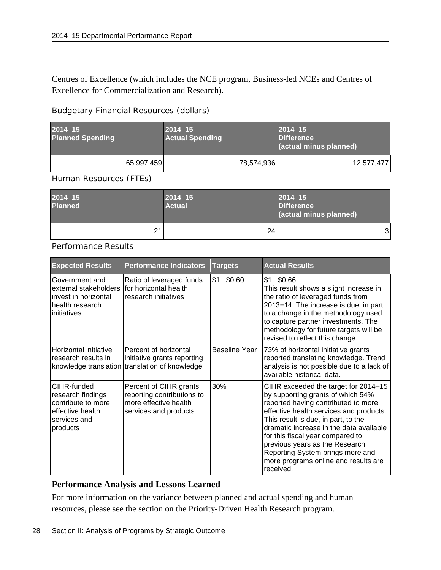Centres of Excellence (which includes the NCE program, Business-led NCEs and Centres of Excellence for Commercialization and Research).

#### Budgetary Financial Resources (dollars)

| $2014 - 15$<br><b>Planned Spending</b> |            | $2014 - 15$<br><b>Actual Spending</b> |            | $2014 - 15$<br>Difference<br>(actual minus planned) |  |
|----------------------------------------|------------|---------------------------------------|------------|-----------------------------------------------------|--|
|                                        | 65,997,459 |                                       | 78,574,936 | 12,577,477                                          |  |

Human Resources (FTEs)

| $2014 - 15$<br><b>Planned</b> | $ 2014 - 15 $<br>Actual | $2014 - 15$<br><b>Difference</b><br>(actual minus planned) |
|-------------------------------|-------------------------|------------------------------------------------------------|
| 21                            | 24                      | 3                                                          |

Performance Results

| <b>Expected Results</b>                                                                                                 | <b>Performance Indicators</b>                                                                          | <b>Targets</b>       | <b>Actual Results</b>                                                                                                                                                                                                                                                                                                                                                                                        |
|-------------------------------------------------------------------------------------------------------------------------|--------------------------------------------------------------------------------------------------------|----------------------|--------------------------------------------------------------------------------------------------------------------------------------------------------------------------------------------------------------------------------------------------------------------------------------------------------------------------------------------------------------------------------------------------------------|
| Government and<br>external stakeholders for horizontal health<br>invest in horizontal<br>health research<br>initiatives | Ratio of leveraged funds<br>research initiatives                                                       | \$1: \$0.60          | \$1: \$0.66<br>This result shows a slight increase in<br>the ratio of leveraged funds from<br>2013-14. The increase is due, in part,<br>to a change in the methodology used<br>to capture partner investments. The<br>methodology for future targets will be<br>revised to reflect this change.                                                                                                              |
| Horizontal initiative<br>research results in                                                                            | Percent of horizontal<br>initiative grants reporting<br>knowledge translation translation of knowledge | <b>Baseline Year</b> | 73% of horizontal initiative grants<br>reported translating knowledge. Trend<br>analysis is not possible due to a lack of<br>available historical data.                                                                                                                                                                                                                                                      |
| CIHR-funded<br>research findings<br>contribute to more<br>effective health<br>services and<br>products                  | Percent of CIHR grants<br>reporting contributions to<br>more effective health<br>services and products | 30%                  | CIHR exceeded the target for 2014-15<br>by supporting grants of which 54%<br>reported having contributed to more<br>effective health services and products.<br>This result is due, in part, to the<br>dramatic increase in the data available<br>for this fiscal year compared to<br>previous years as the Research<br>Reporting System brings more and<br>more programs online and results are<br>received. |

#### **Performance Analysis and Lessons Learned**

For more information on the variance between planned and actual spending and human resources, please see the section on the Priority-Driven Health Research program.

#### 28 Section II: Analysis of Programs by Strategic Outcome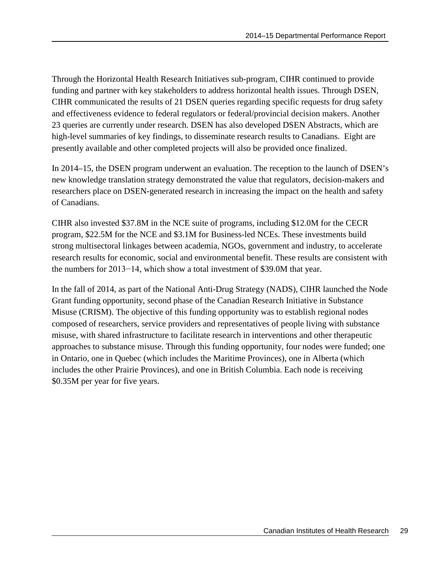Through the Horizontal Health Research Initiatives sub-program, CIHR continued to provide funding and partner with key stakeholders to address horizontal health issues. Through DSEN, CIHR communicated the results of 21 DSEN queries regarding specific requests for drug safety and effectiveness evidence to federal regulators or federal/provincial decision makers. Another 23 queries are currently under research. DSEN has also developed DSEN Abstracts, which are high-level summaries of key findings, to disseminate research results to Canadians. Eight are presently available and other completed projects will also be provided once finalized.

In 2014–15, the DSEN program underwent an evaluation. The reception to the launch of DSEN's new knowledge translation strategy demonstrated the value that regulators, decision-makers and researchers place on DSEN-generated research in increasing the impact on the health and safety of Canadians.

CIHR also invested \$37.8M in the NCE suite of programs, including \$12.0M for the CECR program, \$22.5M for the NCE and \$3.1M for Business-led NCEs. These investments build strong multisectoral linkages between academia, NGOs, government and industry, to accelerate research results for economic, social and environmental benefit. These results are consistent with the numbers for 2013−14, which show a total investment of \$39.0M that year.

In the fall of 2014, as part of the National Anti-Drug Strategy (NADS), CIHR launched the Node Grant funding opportunity, second phase of the Canadian Research Initiative in Substance Misuse (CRISM). The objective of this funding opportunity was to establish regional nodes composed of researchers, service providers and representatives of people living with substance misuse, with shared infrastructure to facilitate research in interventions and other therapeutic approaches to substance misuse. Through this funding opportunity, four nodes were funded; one in Ontario, one in Quebec (which includes the Maritime Provinces), one in Alberta (which includes the other Prairie Provinces), and one in British Columbia. Each node is receiving \$0.35M per year for five years.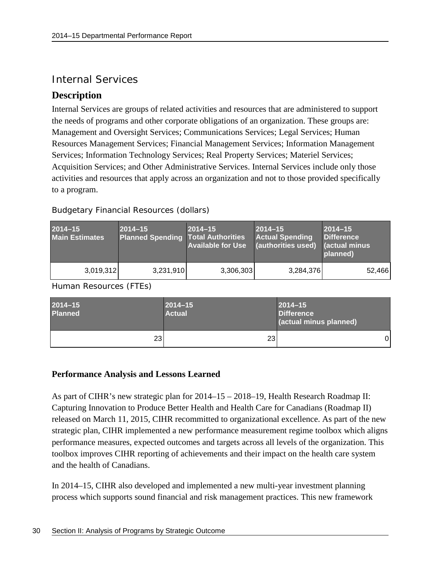### <span id="page-33-0"></span>Internal Services

### **Description**

Internal Services are groups of related activities and resources that are administered to support the needs of programs and other corporate obligations of an organization. These groups are: Management and Oversight Services; Communications Services; Legal Services; Human Resources Management Services; Financial Management Services; Information Management Services; Information Technology Services; Real Property Services; Materiel Services; Acquisition Services; and Other Administrative Services. Internal Services include only those activities and resources that apply across an organization and not to those provided specifically to a program.

| $2014 - 15$<br><b>Main Estimates</b> | $2014 - 15$<br><b>Planned Spending Total Authorities</b> | $2014 - 15$<br><b>Available for Use</b> | $2014 - 15$<br><b>Actual Spending</b><br>(authorities used) | $2014 - 15$<br><b>Difference</b><br><b>diactual minus</b><br>planned) |
|--------------------------------------|----------------------------------------------------------|-----------------------------------------|-------------------------------------------------------------|-----------------------------------------------------------------------|
| 3,019,312                            | 3,231,910                                                | 3,306,303                               | 3,284,376                                                   | 52,466                                                                |

Budgetary Financial Resources (dollars)

Human Resources (FTEs)

| $2014 - 15$<br><b>Planned</b> | $2014 - 15$<br><b>Actual</b> | $2014 - 15$<br><b>Difference</b><br>(actual minus planned) |  |
|-------------------------------|------------------------------|------------------------------------------------------------|--|
| 23                            | 23                           | 0                                                          |  |

#### **Performance Analysis and Lessons Learned**

As part of CIHR's new strategic plan for 2014–15 – 2018–19, Health Research Roadmap II: Capturing Innovation to Produce Better Health and Health Care for Canadians (Roadmap II) released on March 11, 2015, CIHR recommitted to organizational excellence. As part of the new strategic plan, CIHR implemented a new performance measurement regime toolbox which aligns performance measures, expected outcomes and targets across all levels of the organization. This toolbox improves CIHR reporting of achievements and their impact on the health care system and the health of Canadians.

In 2014–15, CIHR also developed and implemented a new multi-year investment planning process which supports sound financial and risk management practices. This new framework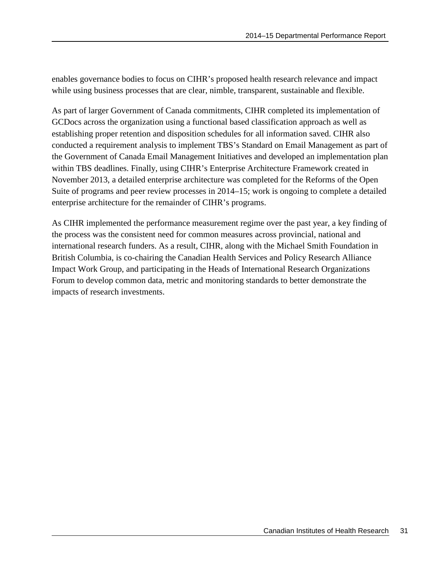enables governance bodies to focus on CIHR's proposed health research relevance and impact while using business processes that are clear, nimble, transparent, sustainable and flexible.

As part of larger Government of Canada commitments, CIHR completed its implementation of GCDocs across the organization using a functional based classification approach as well as establishing proper retention and disposition schedules for all information saved. CIHR also conducted a requirement analysis to implement TBS's Standard on Email Management as part of the Government of Canada Email Management Initiatives and developed an implementation plan within TBS deadlines. Finally, using CIHR's Enterprise Architecture Framework created in November 2013, a detailed enterprise architecture was completed for the Reforms of the Open Suite of programs and peer review processes in 2014–15; work is ongoing to complete a detailed enterprise architecture for the remainder of CIHR's programs.

As CIHR implemented the performance measurement regime over the past year, a key finding of the process was the consistent need for common measures across provincial, national and international research funders. As a result, CIHR, along with the Michael Smith Foundation in British Columbia, is co-chairing the Canadian Health Services and Policy Research Alliance Impact Work Group, and participating in the Heads of International Research Organizations Forum to develop common data, metric and monitoring standards to better demonstrate the impacts of research investments.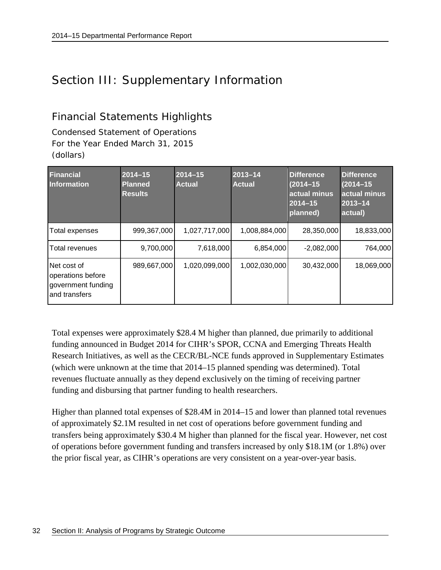# <span id="page-35-0"></span>Section III: Supplementary Information

### <span id="page-35-1"></span>Financial Statements Highlights

Condensed Statement of Operations For the Year Ended March 31, 2015 (dollars)

| <b>Financial</b><br><b>Information</b>                                  | $2014 - 15$<br><b>Planned</b><br><b>Results</b> | $2014 - 15$<br><b>Actual</b> | $2013 - 14$<br><b>Actual</b> | Difference<br>$(2014 - 15)$<br>actual minus<br>$2014 - 15$<br>planned) | <b>Difference</b><br>$(2014 - 15)$<br>actual minus<br>$2013 - 14$<br>actual) |
|-------------------------------------------------------------------------|-------------------------------------------------|------------------------------|------------------------------|------------------------------------------------------------------------|------------------------------------------------------------------------------|
| Total expenses                                                          | 999,367,000                                     | 1,027,717,000                | 1,008,884,000                | 28,350,000                                                             | 18,833,000                                                                   |
| Total revenues                                                          | 9,700,000                                       | 7,618,000                    | 6.854.000                    | $-2,082,000$                                                           | 764,000                                                                      |
| Net cost of<br>operations before<br>government funding<br>and transfers | 989,667,000                                     | 1,020,099,000                | 1,002,030,000                | 30,432,000                                                             | 18,069,000                                                                   |

Total expenses were approximately \$28.4 M higher than planned, due primarily to additional funding announced in Budget 2014 for CIHR's SPOR, CCNA and Emerging Threats Health Research Initiatives, as well as the CECR/BL-NCE funds approved in Supplementary Estimates (which were unknown at the time that 2014–15 planned spending was determined). Total revenues fluctuate annually as they depend exclusively on the timing of receiving partner funding and disbursing that partner funding to health researchers.

Higher than planned total expenses of \$28.4M in 2014–15 and lower than planned total revenues of approximately \$2.1M resulted in net cost of operations before government funding and transfers being approximately \$30.4 M higher than planned for the fiscal year. However, net cost of operations before government funding and transfers increased by only \$18.1M (or 1.8%) over the prior fiscal year, as CIHR's operations are very consistent on a year-over-year basis.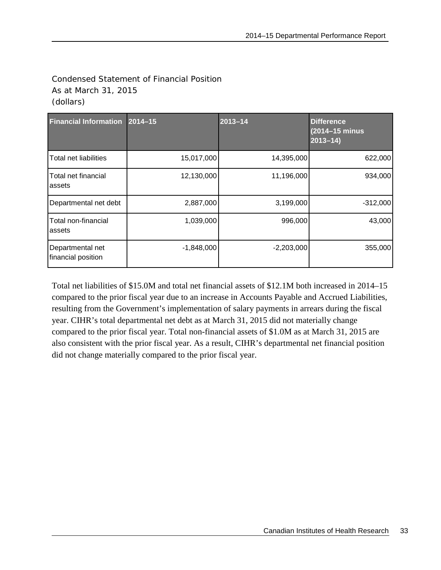### Condensed Statement of Financial Position As at March 31, 2015 (dollars)

| Financial Information 2014-15          |              | $2013 - 14$  | <b>Difference</b><br>(2014-15 minus)<br>$2013 - 14$ |
|----------------------------------------|--------------|--------------|-----------------------------------------------------|
| <b>Total net liabilities</b>           | 15,017,000   | 14,395,000   | 622,000                                             |
| Total net financial<br>assets          | 12,130,000   | 11,196,000   | 934,000                                             |
| Departmental net debt                  | 2,887,000    | 3,199,000    | $-312,000$                                          |
| Total non-financial<br>assets          | 1,039,000    | 996,000      | 43,000                                              |
| Departmental net<br>financial position | $-1,848,000$ | $-2,203,000$ | 355,000                                             |

Total net liabilities of \$15.0M and total net financial assets of \$12.1M both increased in 2014–15 compared to the prior fiscal year due to an increase in Accounts Payable and Accrued Liabilities, resulting from the Government's implementation of salary payments in arrears during the fiscal year. CIHR's total departmental net debt as at March 31, 2015 did not materially change compared to the prior fiscal year. Total non-financial assets of \$1.0M as at March 31, 2015 are also consistent with the prior fiscal year. As a result, CIHR's departmental net financial position did not change materially compared to the prior fiscal year.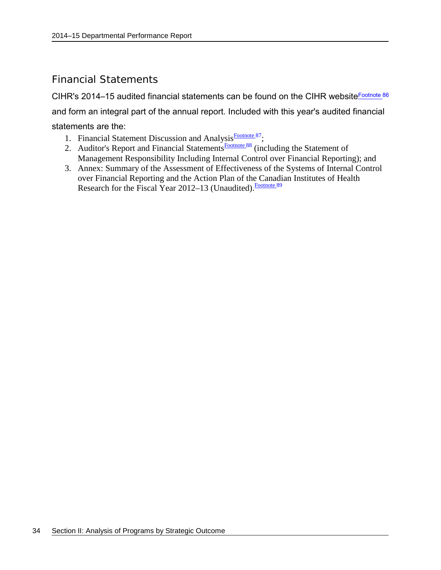## <span id="page-37-0"></span>Financial Statements

CIHR's 2014–15 audited financial statements can be found on the CIHR website Footnote 86 and form an integral part of the annual report. Included with this year's audited financial statements are the:

- 1. Financial Statement Discussion and Analysis<sup>Footnote 87</sup>;
- 2. Auditor's Report and Financial Statements<sup>[Footnote 88](http://www.cihr-irsc.gc.ca/e/48506.html%23fnb88)</sup> (including the Statement of Management Responsibility Including Internal Control over Financial Reporting); and
- 3. Annex: Summary of the Assessment of Effectiveness of the Systems of Internal Control over Financial Reporting and the Action Plan of the Canadian Institutes of Health Research for the Fiscal Year 2012–13 (Unaudited). Footnote 89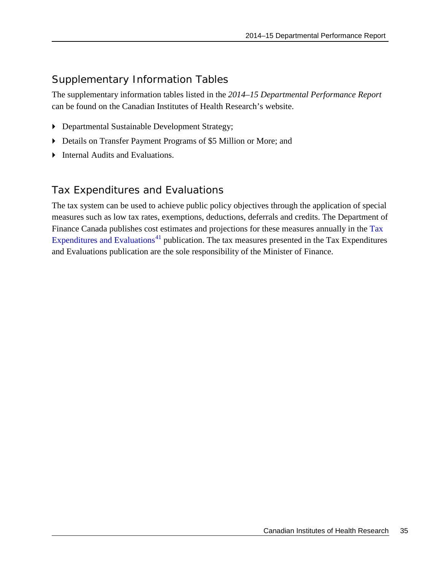# <span id="page-38-0"></span>Supplementary Information Tables

The supplementary information tables listed in the *2014–15 Departmental Performance Report* can be found on the Canadian Institutes of Health Research's website.

- Departmental Sustainable Development Strategy;
- Details on Transfer Payment Programs of \$5 Million or More; and
- **Internal Audits and Evaluations.**

# <span id="page-38-1"></span>Tax Expenditures and Evaluations

The tax system can be used to achieve public policy objectives through the application of special measures such as low tax rates, exemptions, deductions, deferrals and credits. The Department of Finance Canada publishes cost estimates and projections for these measures annually in the [Tax](http://www.fin.gc.ca/purl/taxexp-eng.asp)  [Expenditures and Evaluations](http://www.fin.gc.ca/purl/taxexp-eng.asp)<sup>[41](#page-47-40)</sup> publication. The tax measures presented in the Tax Expenditures and Evaluations publication are the sole responsibility of the Minister of Finance.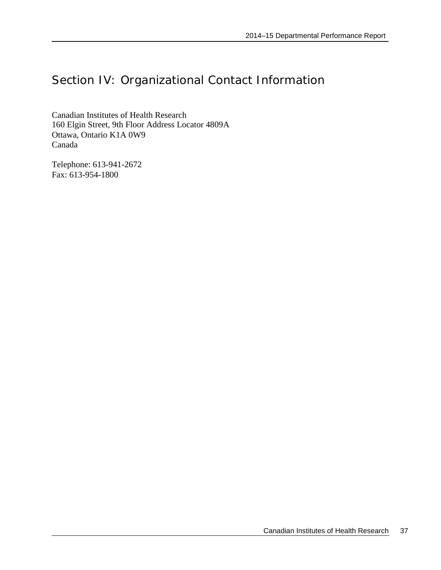# <span id="page-40-0"></span>Section IV: Organizational Contact Information

Canadian Institutes of Health Research 160 Elgin Street, 9th Floor Address Locator 4809A Ottawa, Ontario K1A 0W9 Canada

Telephone: 613-941-2672 Fax: 613-954-1800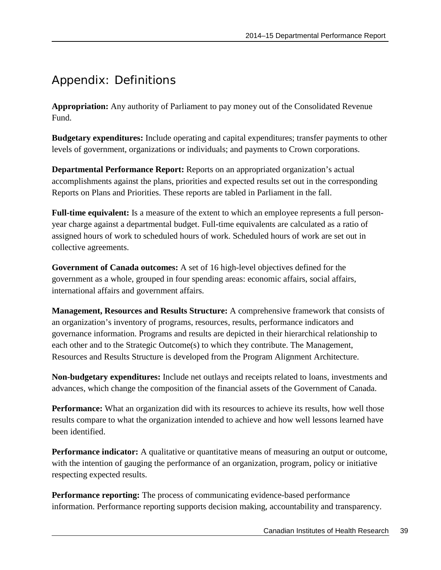# <span id="page-42-0"></span>Appendix: Definitions

**Appropriation:** Any authority of Parliament to pay money out of the Consolidated Revenue Fund.

**Budgetary expenditures:** Include operating and capital expenditures; transfer payments to other levels of government, organizations or individuals; and payments to Crown corporations.

**Departmental Performance Report:** Reports on an appropriated organization's actual accomplishments against the plans, priorities and expected results set out in the corresponding Reports on Plans and Priorities. These reports are tabled in Parliament in the fall.

**Full-time equivalent:** Is a measure of the extent to which an employee represents a full personyear charge against a departmental budget. Full-time equivalents are calculated as a ratio of assigned hours of work to scheduled hours of work. Scheduled hours of work are set out in collective agreements.

**Government of Canada outcomes:** A set of 16 high-level objectives defined for the government as a whole, grouped in [four spending areas:](http://www.tbs-sct.gc.ca/ppg-cpr/frame-cadre-eng.aspx) economic affairs, social affairs, international affairs and government affairs.

**Management, Resources and Results Structure:** A comprehensive framework that consists of an organization's inventory of programs, resources, results, performance indicators and governance information. Programs and results are depicted in their hierarchical relationship to each other and to the Strategic Outcome(s) to which they contribute. The Management, Resources and Results Structure is developed from the Program Alignment Architecture.

**Non-budgetary expenditures:** Include net outlays and receipts related to loans, investments and advances, which change the composition of the financial assets of the Government of Canada.

**Performance:** What an organization did with its resources to achieve its results, how well those results compare to what the organization intended to achieve and how well lessons learned have been identified.

**Performance indicator:** A qualitative or quantitative means of measuring an output or outcome, with the intention of gauging the performance of an organization, program, policy or initiative respecting expected results.

**Performance reporting:** The process of communicating evidence-based performance information. Performance reporting supports decision making, accountability and transparency.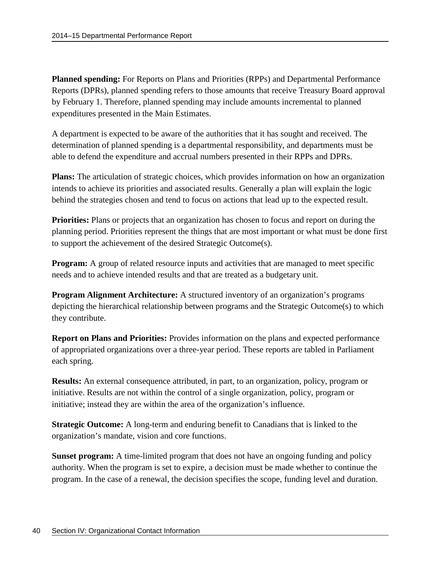**Planned spending:** For Reports on Plans and Priorities (RPPs) and Departmental Performance Reports (DPRs), planned spending refers to those amounts that receive Treasury Board approval by February 1. Therefore, planned spending may include amounts incremental to planned expenditures presented in the Main Estimates.

A department is expected to be aware of the authorities that it has sought and received. The determination of planned spending is a departmental responsibility, and departments must be able to defend the expenditure and accrual numbers presented in their RPPs and DPRs.

**Plans:** The articulation of strategic choices, which provides information on how an organization intends to achieve its priorities and associated results. Generally a plan will explain the logic behind the strategies chosen and tend to focus on actions that lead up to the expected result.

**Priorities:** Plans or projects that an organization has chosen to focus and report on during the planning period. Priorities represent the things that are most important or what must be done first to support the achievement of the desired Strategic Outcome(s).

**Program:** A group of related resource inputs and activities that are managed to meet specific needs and to achieve intended results and that are treated as a budgetary unit.

**Program Alignment Architecture:** A structured inventory of an organization's programs depicting the hierarchical relationship between programs and the Strategic Outcome(s) to which they contribute.

**Report on Plans and Priorities:** Provides information on the plans and expected performance of appropriated organizations over a three-year period. These reports are tabled in Parliament each spring.

**Results:** An external consequence attributed, in part, to an organization, policy, program or initiative. Results are not within the control of a single organization, policy, program or initiative; instead they are within the area of the organization's influence.

**Strategic Outcome:** A long-term and enduring benefit to Canadians that is linked to the organization's mandate, vision and core functions.

**Sunset program:** A time-limited program that does not have an ongoing funding and policy authority. When the program is set to expire, a decision must be made whether to continue the program. In the case of a renewal, the decision specifies the scope, funding level and duration.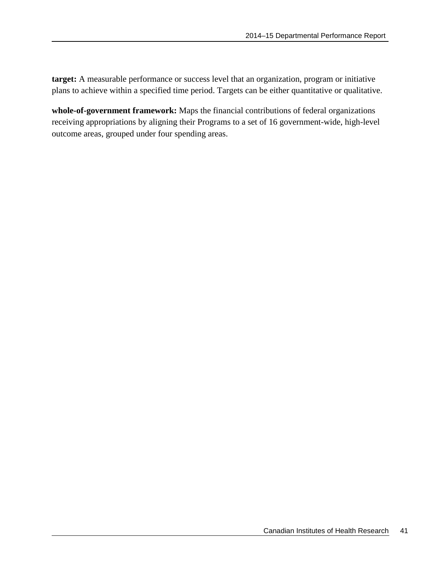**target:** A measurable performance or success level that an organization, program or initiative plans to achieve within a specified time period. Targets can be either quantitative or qualitative.

**whole-of-government framework:** Maps the financial contributions of federal organizations receiving appropriations by aligning their Programs to a set of 16 government-wide, high-level outcome areas, grouped under four spending areas.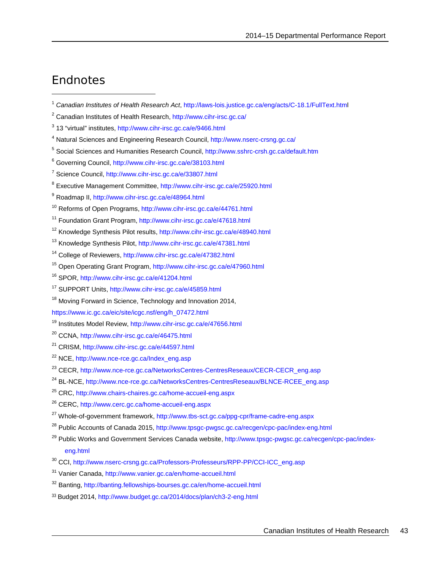# <span id="page-46-0"></span>**Endnotes**

 $\overline{a}$ 

- <sup>1</sup> *Canadian Institutes of Health Research Act*,<http://laws-lois.justice.gc.ca/eng/acts/C-18.1/FullText.html>
- <sup>2</sup> Canadian Institutes of Health Research, <http://www.cihr-irsc.gc.ca/>
- <sup>3</sup> 13 "virtual" institutes[, http://www.cihr-irsc.gc.ca/e/9466.html](http://www.cihr-irsc.gc.ca/e/9466.html)
- <sup>4</sup> [Natural Sciences and Engineering Research Council, http://www.nserc-crsng.gc.ca/](http://www.nserc-crsng.gc.ca/)
- <sup>5</sup> Social Sciences and Humanities Research Council,<http://www.sshrc-crsh.gc.ca/default.htm>
- <sup>6</sup> Governing Council,<http://www.cihr-irsc.gc.ca/e/38103.html>
- <sup>7</sup> Science Council[, http://www.cihr-irsc.gc.ca/e/33807.html](http://www.cihr-irsc.gc.ca/e/33807.html)
- <sup>8</sup> Executive Management Committee,<http://www.cihr-irsc.gc.ca/e/25920.html>
- <sup>9</sup> Roadmap II,<http://www.cihr-irsc.gc.ca/e/48964.html>
- <sup>10</sup> Reforms of Open Programs,<http://www.cihr-irsc.gc.ca/e/44761.html>
- <sup>11</sup> Foundation Grant Program,<http://www.cihr-irsc.gc.ca/e/47618.html>
- <sup>12</sup> Knowledge Synthesis Pilot results,<http://www.cihr-irsc.gc.ca/e/48940.html>
- <sup>13</sup> Knowledge Synthesis Pilot,<http://www.cihr-irsc.gc.ca/e/47381.html>
- <sup>14</sup> College of Reviewers,<http://www.cihr-irsc.gc.ca/e/47382.html>
- <sup>15</sup> Open Operating Grant Program,<http://www.cihr-irsc.gc.ca/e/47960.html>
- <sup>16</sup> SPOR[, http://www.cihr-irsc.gc.ca/e/41204.html](http://www.cihr-irsc.gc.ca/e/41204.html)
- <sup>17</sup> SUPPORT Units[, http://www.cihr-irsc.gc.ca/e/45859.html](http://www.cihr-irsc.gc.ca/e/45859.html)
- <sup>18</sup> Moving Forward in Science, Technology and Innovation 2014,

[https://www.ic.gc.ca/eic/site/icgc.nsf/eng/h\\_07472.html](https://www.ic.gc.ca/eic/site/icgc.nsf/eng/h_07472.html)

- <sup>19</sup> Institutes Model Review,<http://www.cihr-irsc.gc.ca/e/47656.html>
- <sup>20</sup> CCNA[, http://www.cihr-irsc.gc.ca/e/46475.html](http://www.cihr-irsc.gc.ca/e/46475.html)
- <sup>21</sup> CRISM,<http://www.cihr-irsc.gc.ca/e/44597.html>
- <sup>22</sup> NCE, [http://www.nce-rce.gc.ca/Index\\_eng.asp](http://www.nce-rce.gc.ca/Index_eng.asp)
- <sup>23</sup> CECR[, http://www.nce-rce.gc.ca/NetworksCentres-CentresReseaux/CECR-CECR\\_eng.asp](http://www.nce-rce.gc.ca/NetworksCentres-CentresReseaux/CECR-CECR_eng.asp)
- <sup>24</sup> BL-NCE, [http://www.nce-rce.gc.ca/NetworksCentres-CentresReseaux/BLNCE-RCEE\\_eng.asp](http://www.nce-rce.gc.ca/NetworksCentres-CentresReseaux/BLNCE-RCEE_eng.asp)
- <sup>25</sup> CRC[, http://www.chairs-chaires.gc.ca/home-accueil-eng.aspx](http://www.chairs-chaires.gc.ca/home-accueil-eng.aspx)
- <sup>26</sup> CERC[, http://www.cerc.gc.ca/home-accueil-eng.aspx](http://www.cerc.gc.ca/home-accueil-eng.aspx)
- <sup>27</sup> Whole-of-government framework,<http://www.tbs-sct.gc.ca/ppg-cpr/frame-cadre-eng.aspx>
- <sup>28</sup> Public Accounts of Canada 2015,<http://www.tpsgc-pwgsc.gc.ca/recgen/cpc-pac/index-eng.html>
- <sup>29</sup> Public Works and Government Services Canada website, [http://www.tpsgc-pwgsc.gc.ca/recgen/cpc-pac/index](http://www.tpsgc-pwgsc.gc.ca/recgen/cpc-pac/index-eng.html)[eng.html](http://www.tpsgc-pwgsc.gc.ca/recgen/cpc-pac/index-eng.html)
- <sup>30</sup> CCI[, http://www.nserc-crsng.gc.ca/Professors-Professeurs/RPP-PP/CCI-ICC\\_eng.asp](http://www.nserc-crsng.gc.ca/Professors-Professeurs/RPP-PP/CCI-ICC_eng.asp)
- <sup>31</sup> Vanier Canada,<http://www.vanier.gc.ca/en/home-accueil.html>
- <sup>32</sup> Banting[, http://banting.fellowships-bourses.gc.ca/en/home-accueil.html](http://banting.fellowships-bourses.gc.ca/en/home-accueil.html)
- <sup>33</sup> Budget 2014,<http://www.budget.gc.ca/2014/docs/plan/ch3-2-eng.html>